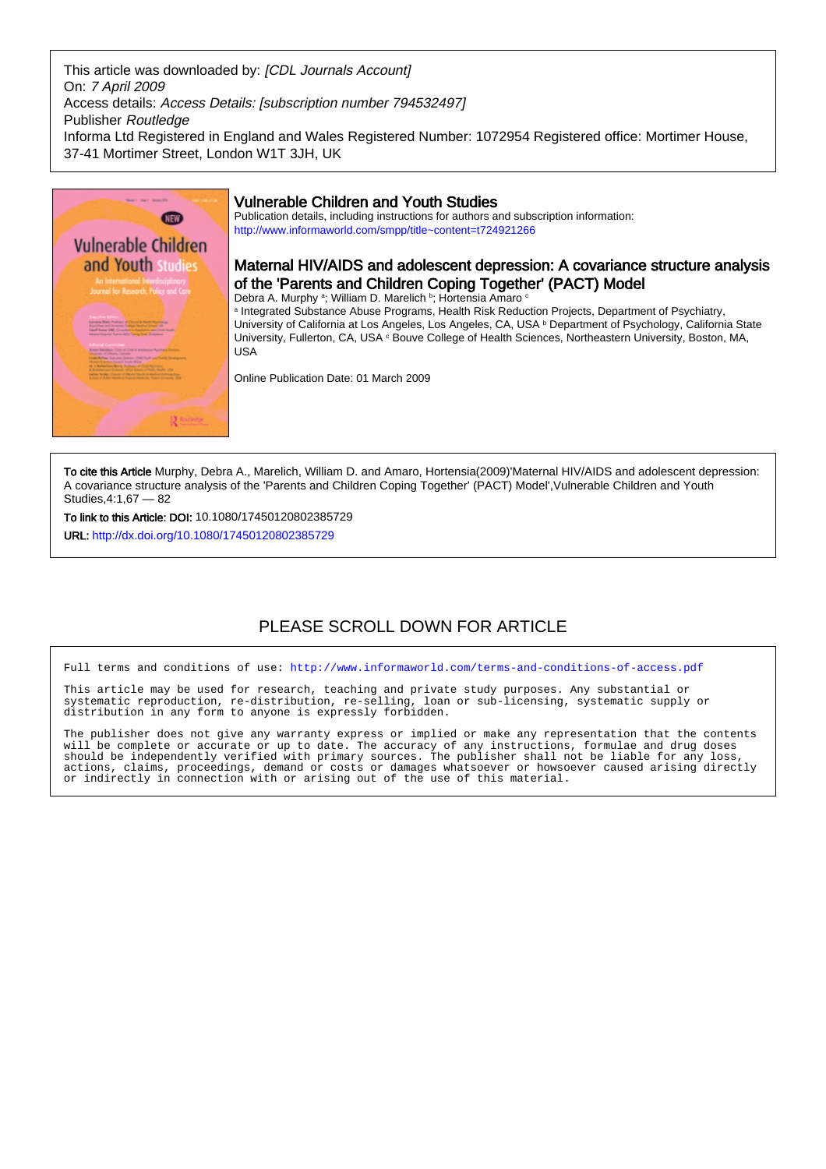This article was downloaded by: [CDL Journals Account] On: 7 April 2009 Access details: Access Details: [subscription number 794532497] Publisher Routledge Informa Ltd Registered in England and Wales Registered Number: 1072954 Registered office: Mortimer House, 37-41 Mortimer Street, London W1T 3JH, UK



## Vulnerable Children and Youth Studies

Publication details, including instructions for authors and subscription information: <http://www.informaworld.com/smpp/title~content=t724921266>

## Maternal HIV/AIDS and adolescent depression: A covariance structure analysis of the 'Parents and Children Coping Together' (PACT) Model

Debra A. Murphy <sup>a</sup>; William D. Marelich <sup>b</sup>; Hortensia Amaro <sup>c</sup>

a Integrated Substance Abuse Programs, Health Risk Reduction Projects, Department of Psychiatry, University of California at Los Angeles, Los Angeles, CA, USA **b** Department of Psychology, California State University, Fullerton, CA, USA <sup>c</sup> Bouve College of Health Sciences, Northeastern University, Boston, MA, USA

Online Publication Date: 01 March 2009

To cite this Article Murphy, Debra A., Marelich, William D. and Amaro, Hortensia(2009)'Maternal HIV/AIDS and adolescent depression: A covariance structure analysis of the 'Parents and Children Coping Together' (PACT) Model',Vulnerable Children and Youth Studies,4:1,67 — 82

To link to this Article: DOI: 10.1080/17450120802385729

URL: <http://dx.doi.org/10.1080/17450120802385729>

# PLEASE SCROLL DOWN FOR ARTICLE

Full terms and conditions of use:<http://www.informaworld.com/terms-and-conditions-of-access.pdf>

This article may be used for research, teaching and private study purposes. Any substantial or systematic reproduction, re-distribution, re-selling, loan or sub-licensing, systematic supply or distribution in any form to anyone is expressly forbidden.

The publisher does not give any warranty express or implied or make any representation that the contents will be complete or accurate or up to date. The accuracy of any instructions, formulae and drug doses should be independently verified with primary sources. The publisher shall not be liable for any loss, actions, claims, proceedings, demand or costs or damages whatsoever or howsoever caused arising directly or indirectly in connection with or arising out of the use of this material.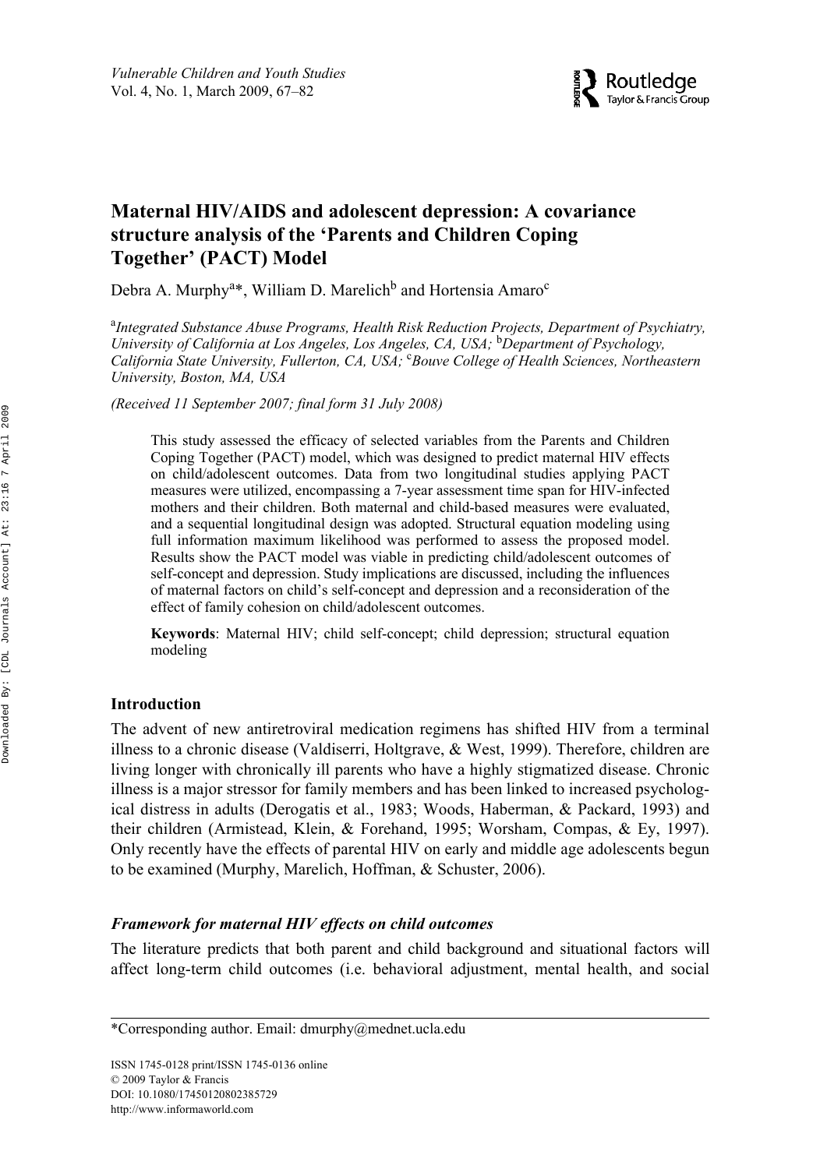

## RVCH 1745-0128 1745-0136Vulnerable Children and Youth Studies, Vol. 99, No. 99, August 2008: pp. 1–32 Studies **Maternal HIV/AIDS and adolescent depression: A covariance structure analysis of the 'Parents and Children Coping Together' (PACT) Model**

Debra A. Murphy<sup>a\*</sup>, William D. Marelich<sup>b</sup> and Hortensia Amaro<sup>c</sup>

<sup>a</sup>Integrated Substance Abuse Programs, Health Risk Reduction Projects, Department of Psychiatry, *University of California at Los Angeles, Los Angeles, CA, USA;* <sup>b</sup> *Department of Psychology, California State University, Fullerton, CA, USA;* <sup>c</sup> *Bouve College of Health Sciences, Northeastern University, Boston, MA, USA*

*(Received 11 September 2007; final form 31 July 2008)*

This study assessed the efficacy of selected variables from the Parents and Children Coping Together (PACT) model, which was designed to predict maternal HIV effects on child/adolescent outcomes. Data from two longitudinal studies applying PACT measures were utilized, encompassing a 7-year assessment time span for HIV-infected mothers and their children. Both maternal and child-based measures were evaluated, and a sequential longitudinal design was adopted. Structural equation modeling using full information maximum likelihood was performed to assess the proposed model. Results show the PACT model was viable in predicting child/adolescent outcomes of self-concept and depression. Study implications are discussed, including the influences of maternal factors on child's self-concept and depression and a reconsideration of the effect of family cohesion on child/adolescent outcomes.

**Keywords**: Maternal HIV; child self-concept; child depression; structural equation modeling

## **Introduction**

The advent of new antiretroviral medication regimens has shifted HIV from a terminal illness to a chronic disease (Valdiserri, Holtgrave, & West, 1999). Therefore, children are living longer with chronically ill parents who have a highly stigmatized disease. Chronic illness is a major stressor for family members and has been linked to increased psychological distress in adults (Derogatis et al., 1983; Woods, Haberman, & Packard, 1993) and their children (Armistead, Klein, & Forehand, 1995; Worsham, Compas, & Ey, 1997). Only recently have the effects of parental HIV on early and middle age adolescents begun to be examined (Murphy, Marelich, Hoffman, & Schuster, 2006).

## *Framework for maternal HIV effects on child outcomes*

The literature predicts that both parent and child background and situational factors will affect long-term child outcomes (i.e. behavioral adjustment, mental health, and social

\*Corresponding author. Email: [dmurphy@mednet.ucla.edu](mailto:dmurphy@mednet.ucla.edu)

ISSN 1745-0128 print/ISSN 1745-0136 online © 2009 Taylor & Francis DOI: 10.1080/17450120802385729 <http://www.informaworld.com>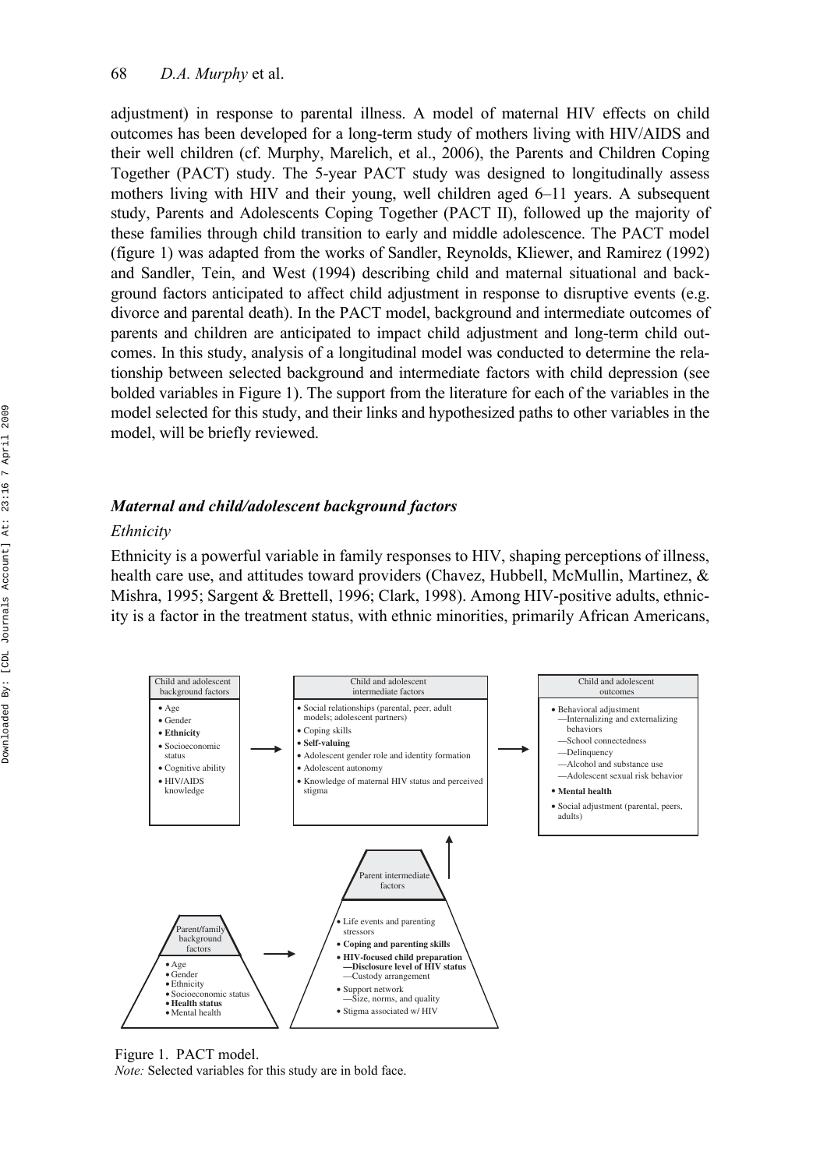adjustment) in response to parental illness. A model of maternal HIV effects on child outcomes has been developed for a long-term study of mothers living with HIV/AIDS and their well children (cf. Murphy, Marelich, et al., 2006), the Parents and Children Coping Together (PACT) study. The 5-year PACT study was designed to longitudinally assess mothers living with HIV and their young, well children aged 6–11 years. A subsequent study, Parents and Adolescents Coping Together (PACT II), followed up the majority of these families through child transition to early and middle adolescence. The PACT model (figure 1) was adapted from the works of Sandler, Reynolds, Kliewer, and Ramirez (1992) and Sandler, Tein, and West (1994) describing child and maternal situational and background factors anticipated to affect child adjustment in response to disruptive events (e.g. divorce and parental death). In the PACT model, background and intermediate outcomes of parents and children are anticipated to impact child adjustment and long-term child outcomes. In this study, analysis of a longitudinal model was conducted to determine the relationship between selected background and intermediate factors with child depression (see bolded variables in Figure 1). The support from the literature for each of the variables in the model selected for this study, and their links and hypothesized paths to other variables in the model, will be briefly reviewed.

#### *Maternal and child/adolescent background factors*

#### *Ethnicity*

Ethnicity is a powerful variable in family responses to HIV, shaping perceptions of illness, health care use, and attitudes toward providers (Chavez, Hubbell, McMullin, Martinez, & Mishra, 1995; Sargent & Brettell, 1996; Clark, 1998). Among HIV-positive adults, ethnicity is a factor in the treatment status, with ethnic minorities, primarily African Americans,



Figure 1. PACT model.

*Note:* Selected variables for this study are in bold face.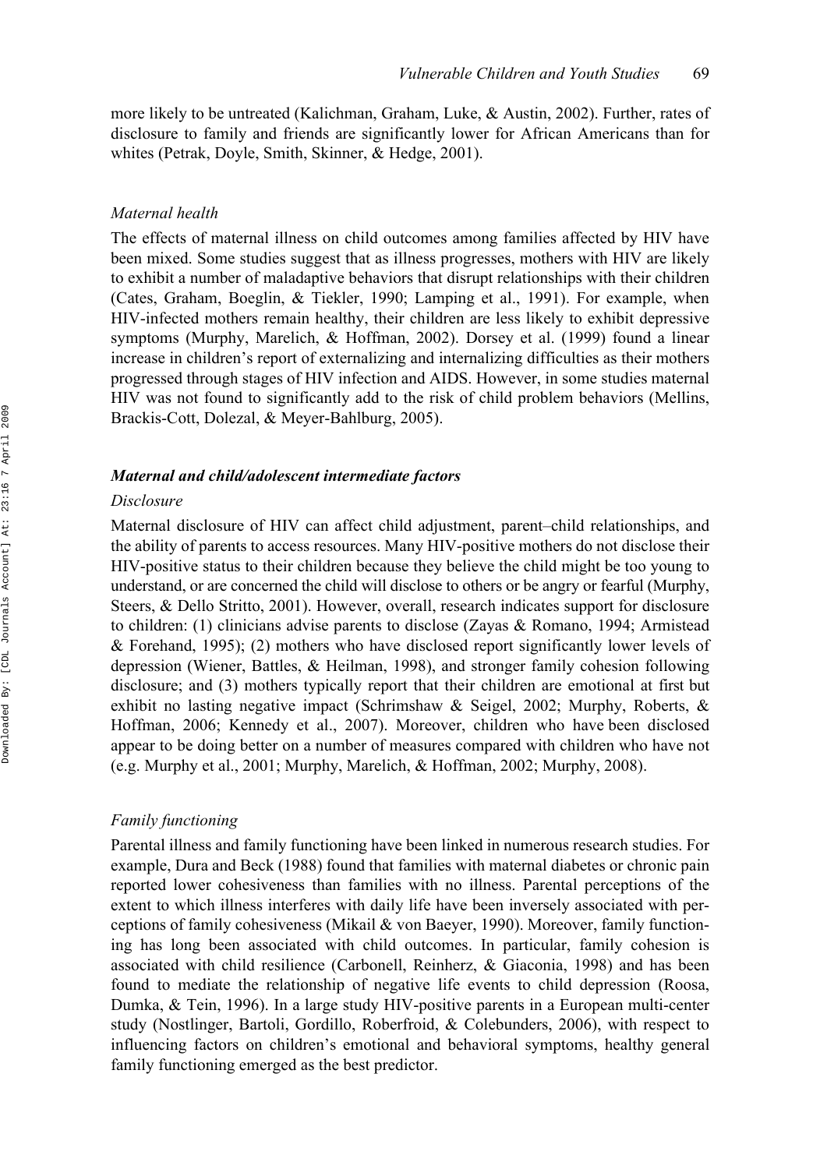more likely to be untreated (Kalichman, Graham, Luke, & Austin, 2002). Further, rates of disclosure to family and friends are significantly lower for African Americans than for whites (Petrak, Doyle, Smith, Skinner, & Hedge, 2001).

#### *Maternal health*

The effects of maternal illness on child outcomes among families affected by HIV have been mixed. Some studies suggest that as illness progresses, mothers with HIV are likely to exhibit a number of maladaptive behaviors that disrupt relationships with their children (Cates, Graham, Boeglin, & Tiekler, 1990; Lamping et al., 1991). For example, when HIV-infected mothers remain healthy, their children are less likely to exhibit depressive symptoms (Murphy, Marelich, & Hoffman, 2002). Dorsey et al. (1999) found a linear increase in children's report of externalizing and internalizing difficulties as their mothers progressed through stages of HIV infection and AIDS. However, in some studies maternal HIV was not found to significantly add to the risk of child problem behaviors (Mellins, Brackis-Cott, Dolezal, & Meyer-Bahlburg, 2005).

#### *Maternal and child/adolescent intermediate factors*

#### *Disclosure*

Maternal disclosure of HIV can affect child adjustment, parent–child relationships, and the ability of parents to access resources. Many HIV-positive mothers do not disclose their HIV-positive status to their children because they believe the child might be too young to understand, or are concerned the child will disclose to others or be angry or fearful (Murphy, Steers, & Dello Stritto, 2001). However, overall, research indicates support for disclosure to children: (1) clinicians advise parents to disclose (Zayas & Romano, 1994; Armistead & Forehand, 1995); (2) mothers who have disclosed report significantly lower levels of depression (Wiener, Battles, & Heilman, 1998), and stronger family cohesion following disclosure; and (3) mothers typically report that their children are emotional at first but exhibit no lasting negative impact (Schrimshaw & Seigel, 2002; Murphy, Roberts, & Hoffman, 2006; Kennedy et al., 2007). Moreover, children who have been disclosed appear to be doing better on a number of measures compared with children who have not (e.g. Murphy et al., 2001; Murphy, Marelich, & Hoffman, 2002; Murphy, 2008).

#### *Family functioning*

Parental illness and family functioning have been linked in numerous research studies. For example, Dura and Beck (1988) found that families with maternal diabetes or chronic pain reported lower cohesiveness than families with no illness. Parental perceptions of the extent to which illness interferes with daily life have been inversely associated with perceptions of family cohesiveness (Mikail & von Baeyer, 1990). Moreover, family functioning has long been associated with child outcomes. In particular, family cohesion is associated with child resilience (Carbonell, Reinherz, & Giaconia, 1998) and has been found to mediate the relationship of negative life events to child depression (Roosa, Dumka, & Tein, 1996). In a large study HIV-positive parents in a European multi-center study (Nostlinger, Bartoli, Gordillo, Roberfroid, & Colebunders, 2006), with respect to influencing factors on children's emotional and behavioral symptoms, healthy general family functioning emerged as the best predictor.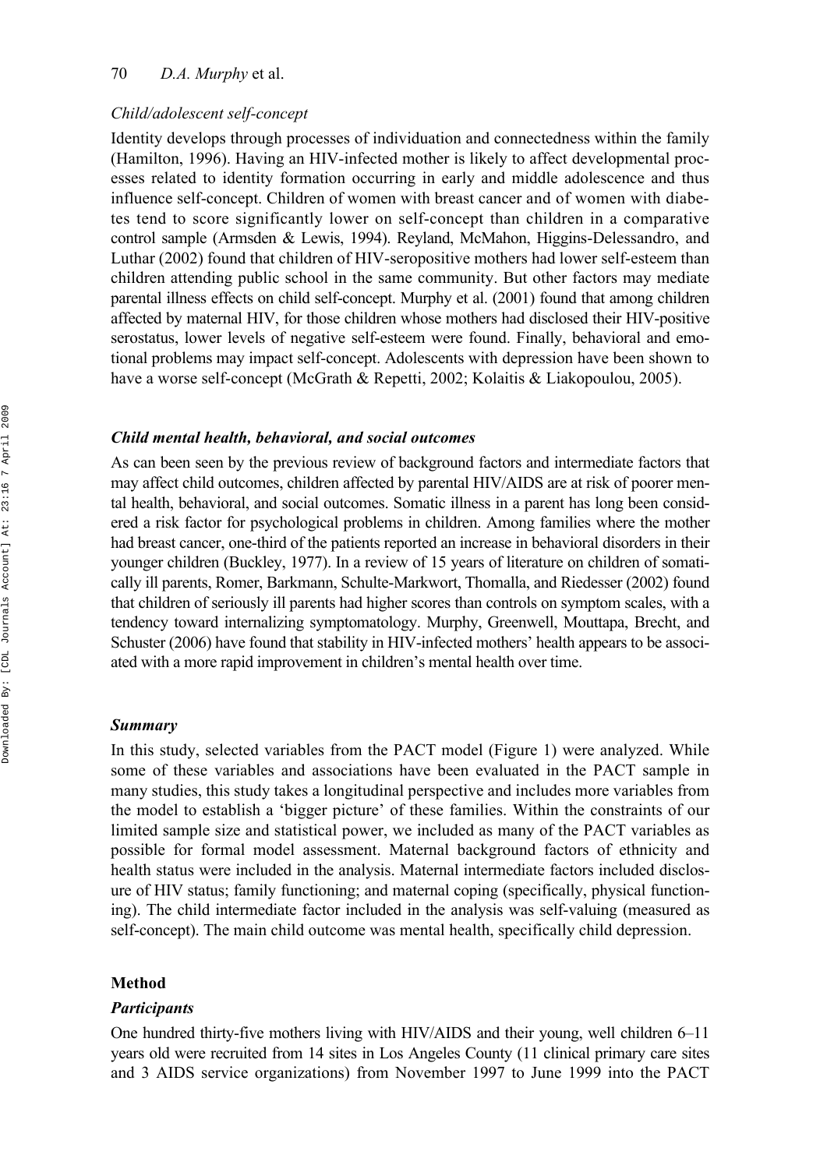#### 70 *D.A. Murphy* et al.

#### *Child/adolescent self-concept*

Identity develops through processes of individuation and connectedness within the family (Hamilton, 1996). Having an HIV-infected mother is likely to affect developmental processes related to identity formation occurring in early and middle adolescence and thus influence self-concept. Children of women with breast cancer and of women with diabetes tend to score significantly lower on self-concept than children in a comparative control sample (Armsden & Lewis, 1994). Reyland, McMahon, Higgins-Delessandro, and Luthar (2002) found that children of HIV-seropositive mothers had lower self-esteem than children attending public school in the same community. But other factors may mediate parental illness effects on child self-concept. Murphy et al. (2001) found that among children affected by maternal HIV, for those children whose mothers had disclosed their HIV-positive serostatus, lower levels of negative self-esteem were found. Finally, behavioral and emotional problems may impact self-concept. Adolescents with depression have been shown to have a worse self-concept (McGrath & Repetti, 2002; Kolaitis & Liakopoulou, 2005).

#### *Child mental health, behavioral, and social outcomes*

As can been seen by the previous review of background factors and intermediate factors that may affect child outcomes, children affected by parental HIV/AIDS are at risk of poorer mental health, behavioral, and social outcomes. Somatic illness in a parent has long been considered a risk factor for psychological problems in children. Among families where the mother had breast cancer, one-third of the patients reported an increase in behavioral disorders in their younger children (Buckley, 1977). In a review of 15 years of literature on children of somatically ill parents, Romer, Barkmann, Schulte-Markwort, Thomalla, and Riedesser (2002) found that children of seriously ill parents had higher scores than controls on symptom scales, with a tendency toward internalizing symptomatology. Murphy, Greenwell, Mouttapa, Brecht, and Schuster (2006) have found that stability in HIV-infected mothers' health appears to be associated with a more rapid improvement in children's mental health over time.

#### *Summary*

In this study, selected variables from the PACT model (Figure 1) were analyzed. While some of these variables and associations have been evaluated in the PACT sample in many studies, this study takes a longitudinal perspective and includes more variables from the model to establish a 'bigger picture' of these families. Within the constraints of our limited sample size and statistical power, we included as many of the PACT variables as possible for formal model assessment. Maternal background factors of ethnicity and health status were included in the analysis. Maternal intermediate factors included disclosure of HIV status; family functioning; and maternal coping (specifically, physical functioning). The child intermediate factor included in the analysis was self-valuing (measured as self-concept). The main child outcome was mental health, specifically child depression.

#### **Method**

#### *Participants*

One hundred thirty-five mothers living with HIV/AIDS and their young, well children 6–11 years old were recruited from 14 sites in Los Angeles County (11 clinical primary care sites and 3 AIDS service organizations) from November 1997 to June 1999 into the PACT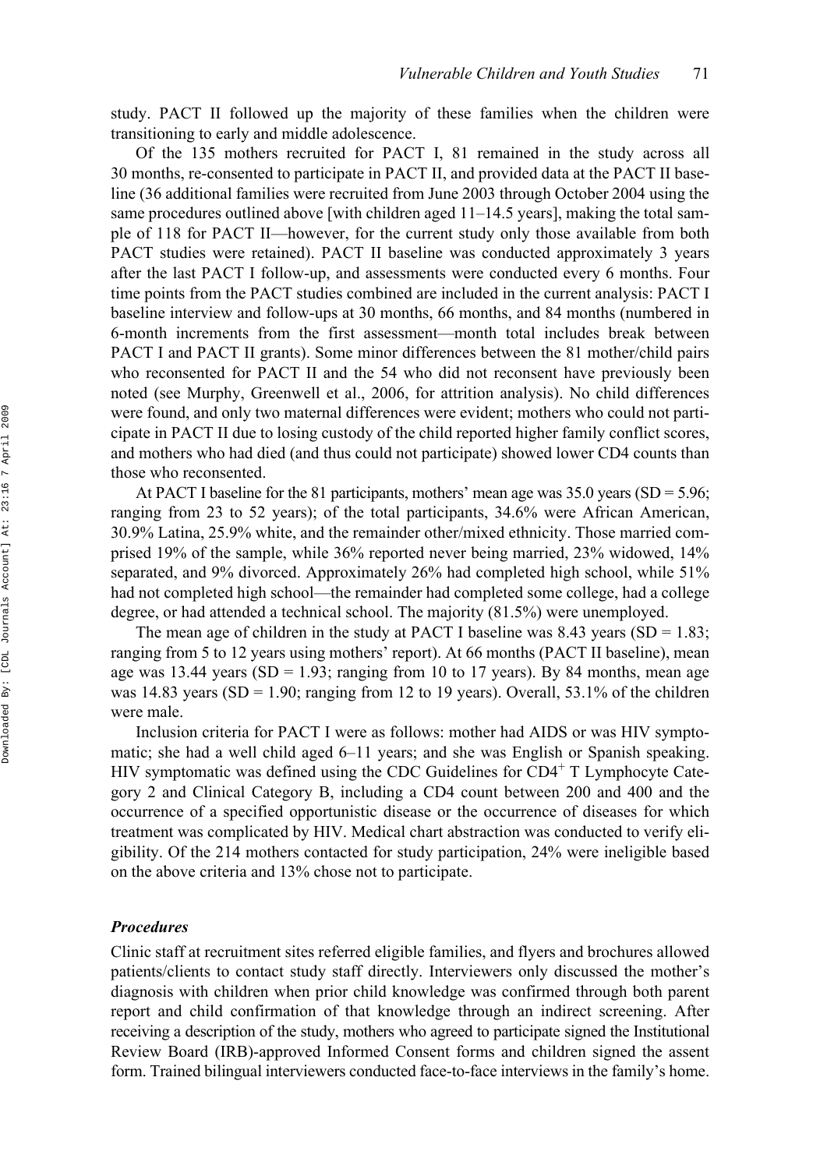study. PACT II followed up the majority of these families when the children were transitioning to early and middle adolescence.

Of the 135 mothers recruited for PACT I, 81 remained in the study across all 30 months, re-consented to participate in PACT II, and provided data at the PACT II baseline (36 additional families were recruited from June 2003 through October 2004 using the same procedures outlined above [with children aged 11–14.5 years], making the total sample of 118 for PACT II—however, for the current study only those available from both PACT studies were retained). PACT II baseline was conducted approximately 3 years after the last PACT I follow-up, and assessments were conducted every 6 months. Four time points from the PACT studies combined are included in the current analysis: PACT I baseline interview and follow-ups at 30 months, 66 months, and 84 months (numbered in 6-month increments from the first assessment—month total includes break between PACT I and PACT II grants). Some minor differences between the 81 mother/child pairs who reconsented for PACT II and the 54 who did not reconsent have previously been noted (see Murphy, Greenwell et al., 2006, for attrition analysis). No child differences were found, and only two maternal differences were evident; mothers who could not participate in PACT II due to losing custody of the child reported higher family conflict scores, and mothers who had died (and thus could not participate) showed lower CD4 counts than those who reconsented.

At PACT I baseline for the 81 participants, mothers' mean age was  $35.0$  years (SD =  $5.96$ ; ranging from 23 to 52 years); of the total participants, 34.6% were African American, 30.9% Latina, 25.9% white, and the remainder other/mixed ethnicity. Those married comprised 19% of the sample, while 36% reported never being married, 23% widowed, 14% separated, and 9% divorced. Approximately 26% had completed high school, while 51% had not completed high school—the remainder had completed some college, had a college degree, or had attended a technical school. The majority (81.5%) were unemployed.

The mean age of children in the study at PACT I baseline was 8.43 years  $(SD = 1.83;$ ranging from 5 to 12 years using mothers' report). At 66 months (PACT II baseline), mean age was 13.44 years (SD = 1.93; ranging from 10 to 17 years). By 84 months, mean age was 14.83 years (SD = 1.90; ranging from 12 to 19 years). Overall, 53.1% of the children were male.

Inclusion criteria for PACT I were as follows: mother had AIDS or was HIV symptomatic; she had a well child aged 6–11 years; and she was English or Spanish speaking. HIV symptomatic was defined using the CDC Guidelines for  $CD4^+$  T Lymphocyte Category 2 and Clinical Category B, including a CD4 count between 200 and 400 and the occurrence of a specified opportunistic disease or the occurrence of diseases for which treatment was complicated by HIV. Medical chart abstraction was conducted to verify eligibility. Of the 214 mothers contacted for study participation, 24% were ineligible based on the above criteria and 13% chose not to participate.

#### *Procedures*

Clinic staff at recruitment sites referred eligible families, and flyers and brochures allowed patients/clients to contact study staff directly. Interviewers only discussed the mother's diagnosis with children when prior child knowledge was confirmed through both parent report and child confirmation of that knowledge through an indirect screening. After receiving a description of the study, mothers who agreed to participate signed the Institutional Review Board (IRB)-approved Informed Consent forms and children signed the assent form. Trained bilingual interviewers conducted face-to-face interviews in the family's home.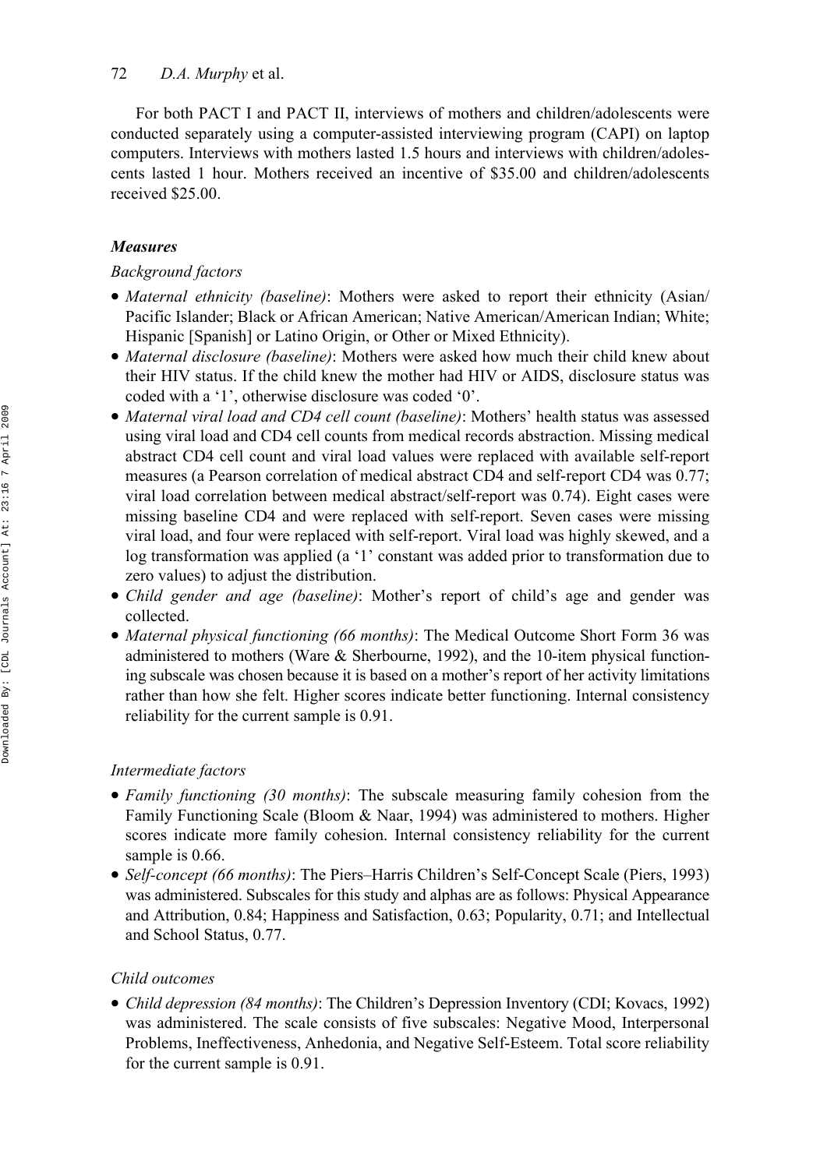For both PACT I and PACT II, interviews of mothers and children/adolescents were conducted separately using a computer-assisted interviewing program (CAPI) on laptop computers. Interviews with mothers lasted 1.5 hours and interviews with children/adolescents lasted 1 hour. Mothers received an incentive of \$35.00 and children/adolescents received \$25.00.

## *Measures*

### *Background factors*

- *Maternal ethnicity (baseline)*: Mothers were asked to report their ethnicity (Asian/ Pacific Islander; Black or African American; Native American/American Indian; White; Hispanic [Spanish] or Latino Origin, or Other or Mixed Ethnicity).
- *Maternal disclosure (baseline)*: Mothers were asked how much their child knew about their HIV status. If the child knew the mother had HIV or AIDS, disclosure status was coded with a '1', otherwise disclosure was coded '0'.
- *Maternal viral load and CD4 cell count (baseline)*: Mothers' health status was assessed using viral load and CD4 cell counts from medical records abstraction. Missing medical abstract CD4 cell count and viral load values were replaced with available self-report measures (a Pearson correlation of medical abstract CD4 and self-report CD4 was 0.77; viral load correlation between medical abstract/self-report was 0.74). Eight cases were missing baseline CD4 and were replaced with self-report. Seven cases were missing viral load, and four were replaced with self-report. Viral load was highly skewed, and a log transformation was applied (a '1' constant was added prior to transformation due to zero values) to adjust the distribution.
- *Child gender and age (baseline)*: Mother's report of child's age and gender was collected.
- *Maternal physical functioning (66 months)*: The Medical Outcome Short Form 36 was administered to mothers (Ware  $\&$  Sherbourne, 1992), and the 10-item physical functioning subscale was chosen because it is based on a mother's report of her activity limitations rather than how she felt. Higher scores indicate better functioning. Internal consistency reliability for the current sample is 0.91.

### *Intermediate factors*

- *Family functioning (30 months)*: The subscale measuring family cohesion from the Family Functioning Scale (Bloom & Naar, 1994) was administered to mothers. Higher scores indicate more family cohesion. Internal consistency reliability for the current sample is 0.66.
- *Self-concept (66 months)*: The Piers–Harris Children's Self-Concept Scale (Piers, 1993) was administered. Subscales for this study and alphas are as follows: Physical Appearance and Attribution, 0.84; Happiness and Satisfaction, 0.63; Popularity, 0.71; and Intellectual and School Status, 0.77.

#### *Child outcomes*

• *Child depression (84 months)*: The Children's Depression Inventory (CDI; Kovacs, 1992) was administered. The scale consists of five subscales: Negative Mood, Interpersonal Problems, Ineffectiveness, Anhedonia, and Negative Self-Esteem. Total score reliability for the current sample is 0.91.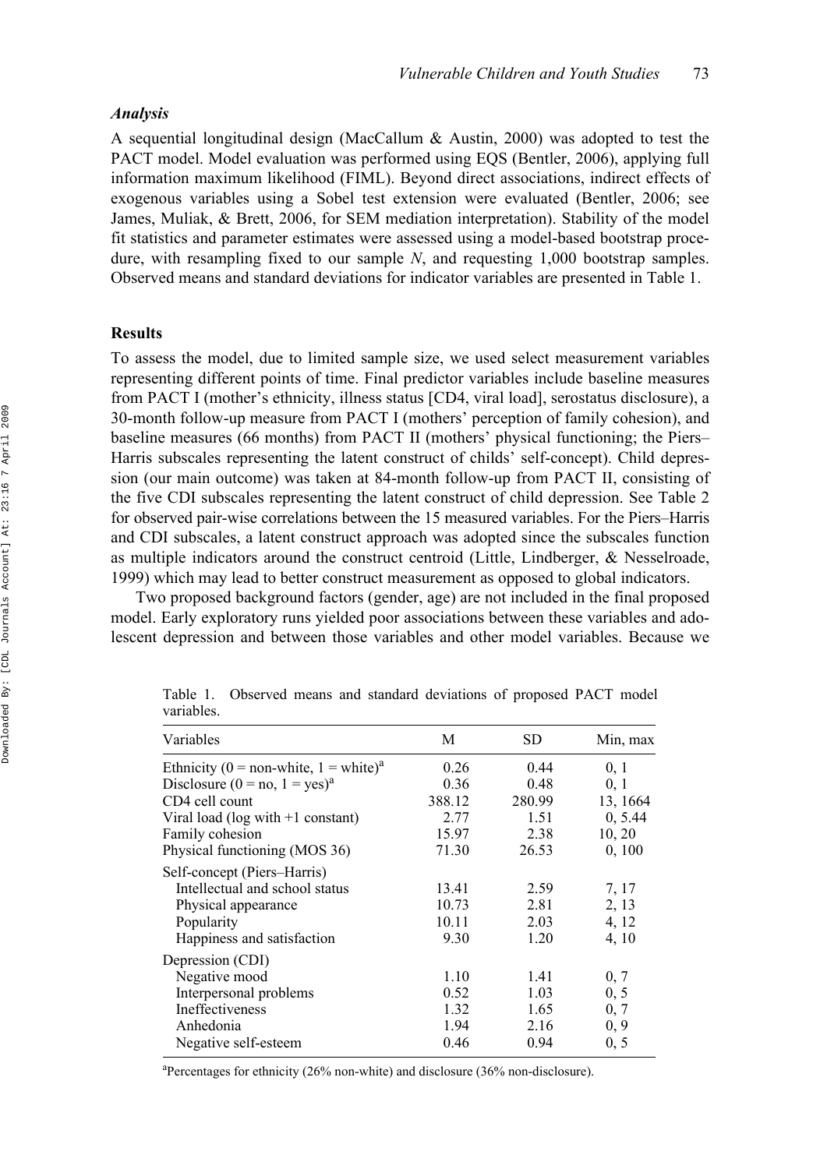### *Analysis*

A sequential longitudinal design (MacCallum & Austin, 2000) was adopted to test the PACT model. Model evaluation was performed using EQS (Bentler, 2006), applying full information maximum likelihood (FIML). Beyond direct associations, indirect effects of exogenous variables using a Sobel test extension were evaluated (Bentler, 2006; see James, Muliak, & Brett, 2006, for SEM mediation interpretation). Stability of the model fit statistics and parameter estimates were assessed using a model-based bootstrap procedure, with resampling fixed to our sample *N*, and requesting 1,000 bootstrap samples. Observed means and standard deviations for indicator variables are presented in Table 1.

#### **Results**

To assess the model, due to limited sample size, we used select measurement variables representing different points of time. Final predictor variables include baseline measures from PACT I (mother's ethnicity, illness status [CD4, viral load], serostatus disclosure), a 30-month follow-up measure from PACT I (mothers' perception of family cohesion), and baseline measures (66 months) from PACT II (mothers' physical functioning; the Piers– Harris subscales representing the latent construct of childs' self-concept). Child depression (our main outcome) was taken at 84-month follow-up from PACT II, consisting of the five CDI subscales representing the latent construct of child depression. See Table 2 for observed pair-wise correlations between the 15 measured variables. For the Piers–Harris and CDI subscales, a latent construct approach was adopted since the subscales function as multiple indicators around the construct centroid (Little, Lindberger, & Nesselroade, 1999) which may lead to better construct measurement as opposed to global indicators.

Two proposed background factors (gender, age) are not included in the final proposed model. Early exploratory runs yielded poor associations between these variables and adolescent depression and between those variables and other model variables. Because we

| Variables                                         | М      | <b>SD</b> | Min, max |
|---------------------------------------------------|--------|-----------|----------|
| Ethnicity (0 = non-white, 1 = white) <sup>a</sup> | 0.26   | 0.44      | 0, 1     |
| Disclosure $(0 = no, 1 = yes)^{a}$                | 0.36   | 0.48      | 0, 1     |
| CD4 cell count                                    | 388.12 | 280.99    | 13, 1664 |
| Viral load (log with $+1$ constant)               | 2.77   | 1.51      | 0, 5.44  |
| Family cohesion                                   | 15.97  | 2.38      | 10, 20   |
| Physical functioning (MOS 36)                     | 71.30  | 26.53     | 0, 100   |
| Self-concept (Piers-Harris)                       |        |           |          |
| Intellectual and school status                    | 13.41  | 2.59      | 7, 17    |
| Physical appearance                               | 10.73  | 2.81      | 2, 13    |
| Popularity                                        | 10.11  | 2.03      | 4, 12    |
| Happiness and satisfaction                        | 9.30   | 1.20      | 4, 10    |
| Depression (CDI)                                  |        |           |          |
| Negative mood                                     | 1.10   | 1.41      | 0, 7     |
| Interpersonal problems                            | 0.52   | 1.03      | 0, 5     |
| Ineffectiveness                                   | 1.32   | 1.65      | 0, 7     |
| Anhedonia                                         | 1.94   | 2.16      | 0, 9     |
| Negative self-esteem                              | 0.46   | 0.94      | 0, 5     |

Table 1. Observed means and standard deviations of proposed PACT model variables.

<sup>a</sup>Percentages for ethnicity (26% non-white) and disclosure (36% non-disclosure).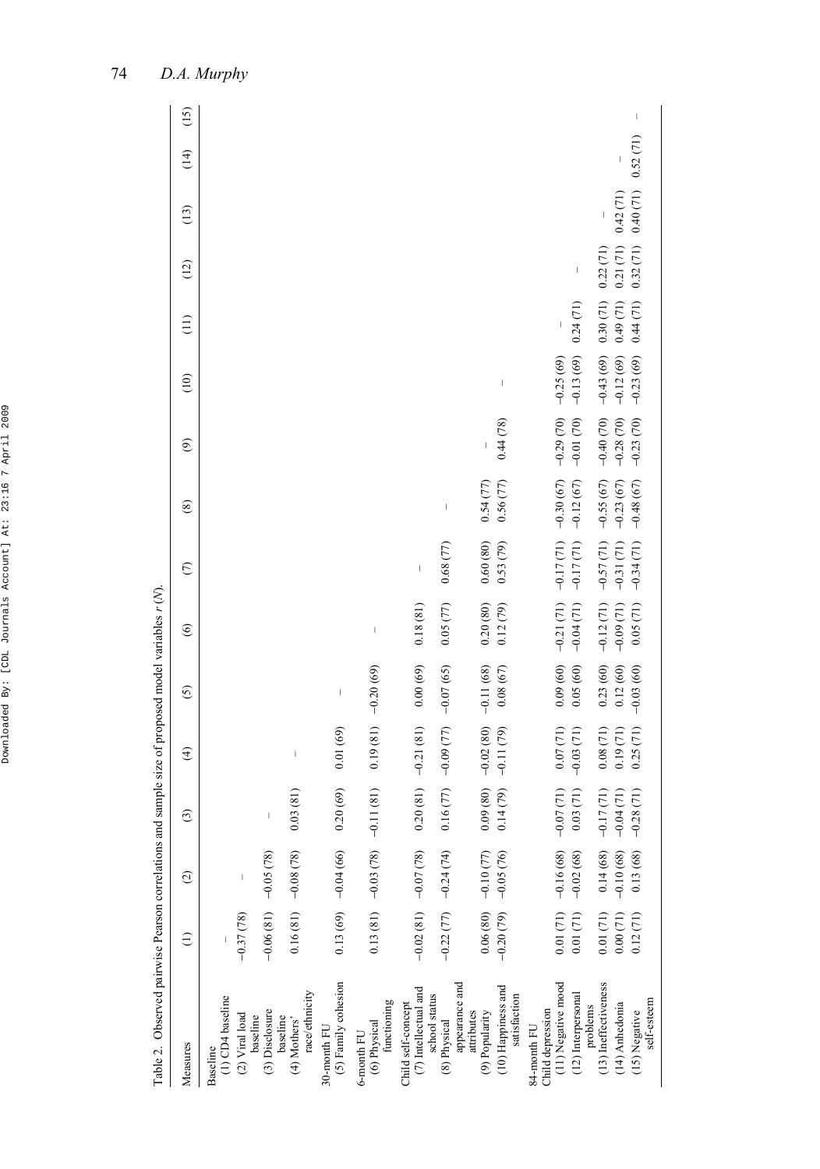| ١<br>ċ                               |
|--------------------------------------|
| ı<br>Ï<br>ł<br>l<br>ï<br>ı<br>I<br>l |
| t                                    |
| ı<br>١<br>¢<br>ï<br>ı                |
| J<br>1<br>ć<br>I<br>ı                |
| ١<br>ı<br>ľ<br>I<br>١<br>í<br>Ï<br>í |
| ì<br>ı<br>í<br>i<br>î<br>j<br>Ń      |
| l<br>Ï<br>í<br>l<br>١                |
| ï<br>l<br>i<br>١                     |
| ī<br>ç<br>١<br>I<br>ï<br>Ï           |

| .<br>با                                                                         |
|---------------------------------------------------------------------------------|
|                                                                                 |
|                                                                                 |
|                                                                                 |
|                                                                                 |
|                                                                                 |
| くうへん                                                                            |
|                                                                                 |
|                                                                                 |
|                                                                                 |
|                                                                                 |
|                                                                                 |
|                                                                                 |
| ï                                                                               |
|                                                                                 |
| $\alpha$ . The contract of the contract of $\alpha$ is the contract of $\alpha$ |
|                                                                                 |
|                                                                                 |
|                                                                                 |
|                                                                                 |
|                                                                                 |
|                                                                                 |
|                                                                                 |
|                                                                                 |
|                                                                                 |
|                                                                                 |
|                                                                                 |
|                                                                                 |
|                                                                                 |
| I                                                                               |
| ֦                                                                               |
| i<br>)                                                                          |
| .<br>[<br>l                                                                     |
|                                                                                 |

| Table 2. Observed pairwise Pearson correlations and sample size of proposed model variables $r(N)$ |                       |                                                                                |                      |                                                                                                                                                                                                                                                                                                                                                                                  |                                                                                                                                                                                                                                                                                                                                                                                  |                                                                                                                                                                                                                                                                                                                                                                                  |                                                                                                                                                                                                                                                                                                                                                                                  |                                                                                                                                                                                                                                                                                                                                                                                                                |                |                          |               |          |                                  |      |        |
|----------------------------------------------------------------------------------------------------|-----------------------|--------------------------------------------------------------------------------|----------------------|----------------------------------------------------------------------------------------------------------------------------------------------------------------------------------------------------------------------------------------------------------------------------------------------------------------------------------------------------------------------------------|----------------------------------------------------------------------------------------------------------------------------------------------------------------------------------------------------------------------------------------------------------------------------------------------------------------------------------------------------------------------------------|----------------------------------------------------------------------------------------------------------------------------------------------------------------------------------------------------------------------------------------------------------------------------------------------------------------------------------------------------------------------------------|----------------------------------------------------------------------------------------------------------------------------------------------------------------------------------------------------------------------------------------------------------------------------------------------------------------------------------------------------------------------------------|----------------------------------------------------------------------------------------------------------------------------------------------------------------------------------------------------------------------------------------------------------------------------------------------------------------------------------------------------------------------------------------------------------------|----------------|--------------------------|---------------|----------|----------------------------------|------|--------|
| Measures                                                                                           | $\widehat{c}$         | $\odot$                                                                        | $\widehat{c}$        | $\bigoplus$                                                                                                                                                                                                                                                                                                                                                                      | $\odot$                                                                                                                                                                                                                                                                                                                                                                          | $\circledcirc$                                                                                                                                                                                                                                                                                                                                                                   | $\odot$                                                                                                                                                                                                                                                                                                                                                                          | $\circledast$                                                                                                                                                                                                                                                                                                                                                                                                  | $\circledcirc$ | $\frac{1}{2}$            | $\frac{1}{2}$ | (12)     | (13)                             | (14) | (15)   |
| $(1)$ CD4 baseline<br>Baseline                                                                     |                       |                                                                                |                      |                                                                                                                                                                                                                                                                                                                                                                                  |                                                                                                                                                                                                                                                                                                                                                                                  |                                                                                                                                                                                                                                                                                                                                                                                  |                                                                                                                                                                                                                                                                                                                                                                                  |                                                                                                                                                                                                                                                                                                                                                                                                                |                |                          |               |          |                                  |      |        |
| (2) Viral load<br>baseline                                                                         | $-0.37(78)$           | I                                                                              |                      |                                                                                                                                                                                                                                                                                                                                                                                  |                                                                                                                                                                                                                                                                                                                                                                                  |                                                                                                                                                                                                                                                                                                                                                                                  |                                                                                                                                                                                                                                                                                                                                                                                  |                                                                                                                                                                                                                                                                                                                                                                                                                |                |                          |               |          |                                  |      |        |
| (3) Disclosure                                                                                     | $-0.06(81) -0.05(78)$ |                                                                                | I                    |                                                                                                                                                                                                                                                                                                                                                                                  |                                                                                                                                                                                                                                                                                                                                                                                  |                                                                                                                                                                                                                                                                                                                                                                                  |                                                                                                                                                                                                                                                                                                                                                                                  |                                                                                                                                                                                                                                                                                                                                                                                                                |                |                          |               |          |                                  |      |        |
| race/ethnicity<br>baseline<br>(4) Mothers'                                                         |                       | $0.16(81) -0.08(78)$                                                           | 0.03(81)             | $\begin{array}{c} \rule{0pt}{2.5ex} \rule{0pt}{2.5ex} \rule{0pt}{2.5ex} \rule{0pt}{2.5ex} \rule{0pt}{2.5ex} \rule{0pt}{2.5ex} \rule{0pt}{2.5ex} \rule{0pt}{2.5ex} \rule{0pt}{2.5ex} \rule{0pt}{2.5ex} \rule{0pt}{2.5ex} \rule{0pt}{2.5ex} \rule{0pt}{2.5ex} \rule{0pt}{2.5ex} \rule{0pt}{2.5ex} \rule{0pt}{2.5ex} \rule{0pt}{2.5ex} \rule{0pt}{2.5ex} \rule{0pt}{2.5ex} \rule{0$ |                                                                                                                                                                                                                                                                                                                                                                                  |                                                                                                                                                                                                                                                                                                                                                                                  |                                                                                                                                                                                                                                                                                                                                                                                  |                                                                                                                                                                                                                                                                                                                                                                                                                |                |                          |               |          |                                  |      |        |
| (5) Family cohesion<br>30-month FU                                                                 |                       | $0.13(69) -0.04(66)$                                                           | 0.20(69)             | 0.01(69)                                                                                                                                                                                                                                                                                                                                                                         | $\begin{array}{c} \rule{0pt}{2.5ex} \rule{0pt}{2.5ex} \rule{0pt}{2.5ex} \rule{0pt}{2.5ex} \rule{0pt}{2.5ex} \rule{0pt}{2.5ex} \rule{0pt}{2.5ex} \rule{0pt}{2.5ex} \rule{0pt}{2.5ex} \rule{0pt}{2.5ex} \rule{0pt}{2.5ex} \rule{0pt}{2.5ex} \rule{0pt}{2.5ex} \rule{0pt}{2.5ex} \rule{0pt}{2.5ex} \rule{0pt}{2.5ex} \rule{0pt}{2.5ex} \rule{0pt}{2.5ex} \rule{0pt}{2.5ex} \rule{0$ |                                                                                                                                                                                                                                                                                                                                                                                  |                                                                                                                                                                                                                                                                                                                                                                                  |                                                                                                                                                                                                                                                                                                                                                                                                                |                |                          |               |          |                                  |      |        |
| (6) Physical<br>functioning<br>6-month FU                                                          |                       | $0.13(81) -0.03(78)$                                                           | $-0.11(81)$          | 0.19(81)                                                                                                                                                                                                                                                                                                                                                                         | $-0.20(69)$                                                                                                                                                                                                                                                                                                                                                                      | $\begin{array}{c} \rule{0pt}{2.5ex} \rule{0pt}{2.5ex} \rule{0pt}{2.5ex} \rule{0pt}{2.5ex} \rule{0pt}{2.5ex} \rule{0pt}{2.5ex} \rule{0pt}{2.5ex} \rule{0pt}{2.5ex} \rule{0pt}{2.5ex} \rule{0pt}{2.5ex} \rule{0pt}{2.5ex} \rule{0pt}{2.5ex} \rule{0pt}{2.5ex} \rule{0pt}{2.5ex} \rule{0pt}{2.5ex} \rule{0pt}{2.5ex} \rule{0pt}{2.5ex} \rule{0pt}{2.5ex} \rule{0pt}{2.5ex} \rule{0$ |                                                                                                                                                                                                                                                                                                                                                                                  |                                                                                                                                                                                                                                                                                                                                                                                                                |                |                          |               |          |                                  |      |        |
| $\left( 7\right)$ Intellectual and<br>Child self-concept                                           | $-0.02(81) -0.07(78)$ |                                                                                | 0.20(81)             | $-0.21(81)$                                                                                                                                                                                                                                                                                                                                                                      | 0.00(69)                                                                                                                                                                                                                                                                                                                                                                         | 0.18(81)                                                                                                                                                                                                                                                                                                                                                                         | $\begin{array}{c} \rule{0pt}{2.5ex} \rule{0pt}{2.5ex} \rule{0pt}{2.5ex} \rule{0pt}{2.5ex} \rule{0pt}{2.5ex} \rule{0pt}{2.5ex} \rule{0pt}{2.5ex} \rule{0pt}{2.5ex} \rule{0pt}{2.5ex} \rule{0pt}{2.5ex} \rule{0pt}{2.5ex} \rule{0pt}{2.5ex} \rule{0pt}{2.5ex} \rule{0pt}{2.5ex} \rule{0pt}{2.5ex} \rule{0pt}{2.5ex} \rule{0pt}{2.5ex} \rule{0pt}{2.5ex} \rule{0pt}{2.5ex} \rule{0$ |                                                                                                                                                                                                                                                                                                                                                                                                                |                |                          |               |          |                                  |      |        |
| appearance and<br>school status<br>(8) Physical                                                    |                       | $-0.22(77) -0.24(74)$                                                          | $0.16(77) -0.09(77)$ |                                                                                                                                                                                                                                                                                                                                                                                  | $-0.07(65)$                                                                                                                                                                                                                                                                                                                                                                      | 0.05(77)                                                                                                                                                                                                                                                                                                                                                                         | 0.68(77)                                                                                                                                                                                                                                                                                                                                                                         | $\begin{array}{c} \rule{0pt}{2ex} \rule{0pt}{2ex} \rule{0pt}{2ex} \rule{0pt}{2ex} \rule{0pt}{2ex} \rule{0pt}{2ex} \rule{0pt}{2ex} \rule{0pt}{2ex} \rule{0pt}{2ex} \rule{0pt}{2ex} \rule{0pt}{2ex} \rule{0pt}{2ex} \rule{0pt}{2ex} \rule{0pt}{2ex} \rule{0pt}{2ex} \rule{0pt}{2ex} \rule{0pt}{2ex} \rule{0pt}{2ex} \rule{0pt}{2ex} \rule{0pt}{2ex} \rule{0pt}{2ex} \rule{0pt}{2ex} \rule{0pt}{2ex} \rule{0pt}{$ |                |                          |               |          |                                  |      |        |
| attributes<br>(9) Popularity                                                                       |                       | $\begin{array}{ccc} 0.06(80) & -0.10(77) \\ -0.20(79) & -0.05(76) \end{array}$ | 0.09(80)             | $-0.02(80)$                                                                                                                                                                                                                                                                                                                                                                      | $-0.11(68)$                                                                                                                                                                                                                                                                                                                                                                      | 0.20(80)                                                                                                                                                                                                                                                                                                                                                                         | 0.60(80)                                                                                                                                                                                                                                                                                                                                                                         | 0.54(77)                                                                                                                                                                                                                                                                                                                                                                                                       |                |                          |               |          |                                  |      |        |
| (10) Happiness and<br>satisfaction                                                                 |                       |                                                                                | 0.14(79)             | $-0.11(79)$                                                                                                                                                                                                                                                                                                                                                                      | 0.08(67)                                                                                                                                                                                                                                                                                                                                                                         | 0.12(79)                                                                                                                                                                                                                                                                                                                                                                         | 0.53(79)                                                                                                                                                                                                                                                                                                                                                                         | 0.56(77)                                                                                                                                                                                                                                                                                                                                                                                                       | 0.44(78)       | $\overline{\phantom{a}}$ |               |          |                                  |      |        |
| (11) Negative mood<br>Child depression<br>84-month FU                                              |                       | $0.01(71) -0.16(68)$                                                           | $-0.07(71)$          | 0.07(71)                                                                                                                                                                                                                                                                                                                                                                         | 0.09(60)                                                                                                                                                                                                                                                                                                                                                                         | $-0.21(71)$                                                                                                                                                                                                                                                                                                                                                                      |                                                                                                                                                                                                                                                                                                                                                                                  | $-0.17(71) -0.30(67) -0.29(70)$                                                                                                                                                                                                                                                                                                                                                                                |                | $-0.25(69)$              |               |          |                                  |      |        |
| (12) Interpersonal<br>problems                                                                     | $0.01\ (71)$          | $-0.02(68)$                                                                    | 0.03(71)             | $-0.03(71)$                                                                                                                                                                                                                                                                                                                                                                      | 0.05(60)                                                                                                                                                                                                                                                                                                                                                                         | $-0.04(71)$                                                                                                                                                                                                                                                                                                                                                                      | $-0.17(71)$                                                                                                                                                                                                                                                                                                                                                                      | $-0.12(67)$                                                                                                                                                                                                                                                                                                                                                                                                    | $-0.01(70)$    | $-0.13(69)$              | 0.24(71)      | $\mid$   |                                  |      |        |
| (13) Ineffectiveness                                                                               | 0.01(71)              | $0.14(68)$<br>-0.10 $(68)$                                                     | $-0.17(71)$          | 0.08(71)                                                                                                                                                                                                                                                                                                                                                                         | 0.23(60)                                                                                                                                                                                                                                                                                                                                                                         | $-0.12(71)$                                                                                                                                                                                                                                                                                                                                                                      | $-0.57(71)$                                                                                                                                                                                                                                                                                                                                                                      | $-0.55(67)$                                                                                                                                                                                                                                                                                                                                                                                                    | $-0.40(70)$    | $-0.43(69)$              | 0.30(71)      | 0.22(71) |                                  |      |        |
| (14) Anhedonia                                                                                     | 0.00(71)              |                                                                                | $-0.04(71)$          | 0.19(71)                                                                                                                                                                                                                                                                                                                                                                         | 0.12(60)                                                                                                                                                                                                                                                                                                                                                                         | $-0.09(71)$                                                                                                                                                                                                                                                                                                                                                                      | $-0.31(71)$                                                                                                                                                                                                                                                                                                                                                                      | $-0.23(67)$                                                                                                                                                                                                                                                                                                                                                                                                    | $-0.28(70)$    | $-0.12(69)$              | 0.49(71)      | 0.21(71) | 0.42(71)                         |      |        |
| self-esteem<br>$(15)$ Negative                                                                     | 0.12(71)              | 0.13(68)                                                                       | $-0.28(71)$          | 0.25(71)                                                                                                                                                                                                                                                                                                                                                                         | $-0.03(60)$                                                                                                                                                                                                                                                                                                                                                                      | 0.05(71)                                                                                                                                                                                                                                                                                                                                                                         | $-0.34(71)$                                                                                                                                                                                                                                                                                                                                                                      | $-0.48(67)$                                                                                                                                                                                                                                                                                                                                                                                                    | $-0.23(70)$    | $-0.23(69)$              | 0.44(71)      |          | $0.32(71)$ $0.40(71)$ $0.52(71)$ |      | $\mid$ |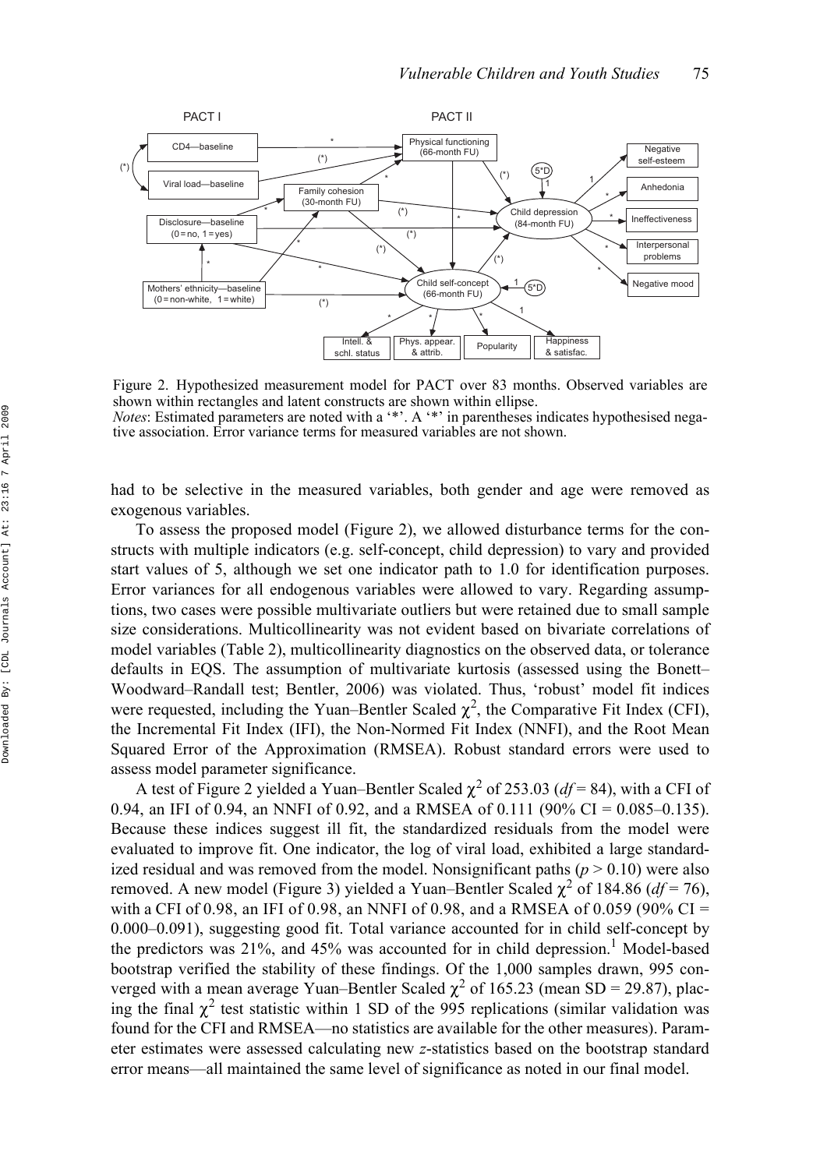

Figure 2. Hypothesized measurement model for PACT over 83 months. Observed variables are shown within rectangles and latent constructs are shown within ellipse. *Notes*: Estimated parameters are noted with a '\*'. A '\*' in parentheses indicates hypothesised negative association. Error variance terms for measured variables are not shown.

had to be selective in the measured variables, both gender and age were removed as exogenous variables.

To assess the proposed model (Figure 2), we allowed disturbance terms for the constructs with multiple indicators (e.g. self-concept, child depression) to vary and provided start values of 5, although we set one indicator path to 1.0 for identification purposes. Error variances for all endogenous variables were allowed to vary. Regarding assumptions, two cases were possible multivariate outliers but were retained due to small sample size considerations. Multicollinearity was not evident based on bivariate correlations of model variables (Table 2), multicollinearity diagnostics on the observed data, or tolerance defaults in EQS. The assumption of multivariate kurtosis (assessed using the Bonett– Woodward–Randall test; Bentler, 2006) was violated. Thus, 'robust' model fit indices were requested, including the Yuan–Bentler Scaled  $\chi^2$ , the Comparative Fit Index (CFI), the Incremental Fit Index (IFI), the Non-Normed Fit Index (NNFI), and the Root Mean Squared Error of the Approximation (RMSEA). Robust standard errors were used to assess model parameter significance.

A test of Figure 2 yielded a Yuan–Bentler Scaled  $\chi^2$  of 253.03 ( $df = 84$ ), with a CFI of 0.94, an IFI of 0.94, an NNFI of 0.92, and a RMSEA of 0.111 (90% CI = 0.085–0.135). Because these indices suggest ill fit, the standardized residuals from the model were evaluated to improve fit. One indicator, the log of viral load, exhibited a large standardized residual and was removed from the model. Nonsignificant paths  $(p > 0.10)$  were also removed. A new model (Figure 3) yielded a Yuan–Bentler Scaled  $\chi^2$  of 184.86 (*df* = 76), with a CFI of 0.98, an IFI of 0.98, an NNFI of 0.98, and a RMSEA of 0.059 (90% CI = 0.000–0.091), suggesting good fit. Total variance accounted for in child self-concept by the predictors was 21%, and 45% was accounted for in child depression.<sup>1</sup> Model-based bootstrap verified the stability of these findings. Of the 1,000 samples drawn, 995 converged with a mean average Yuan–Bentler Scaled  $\chi^2$  of 165.23 (mean SD = 29.87), placing the final  $\chi^2$  test statistic within 1 SD of the 995 replications (similar validation was found for the CFI and RMSEA—no statistics are available for the other measures). Parameter estimates were assessed calculating new *z*-statistics based on the bootstrap standard error means—all maintained the same level of significance as noted in our final model.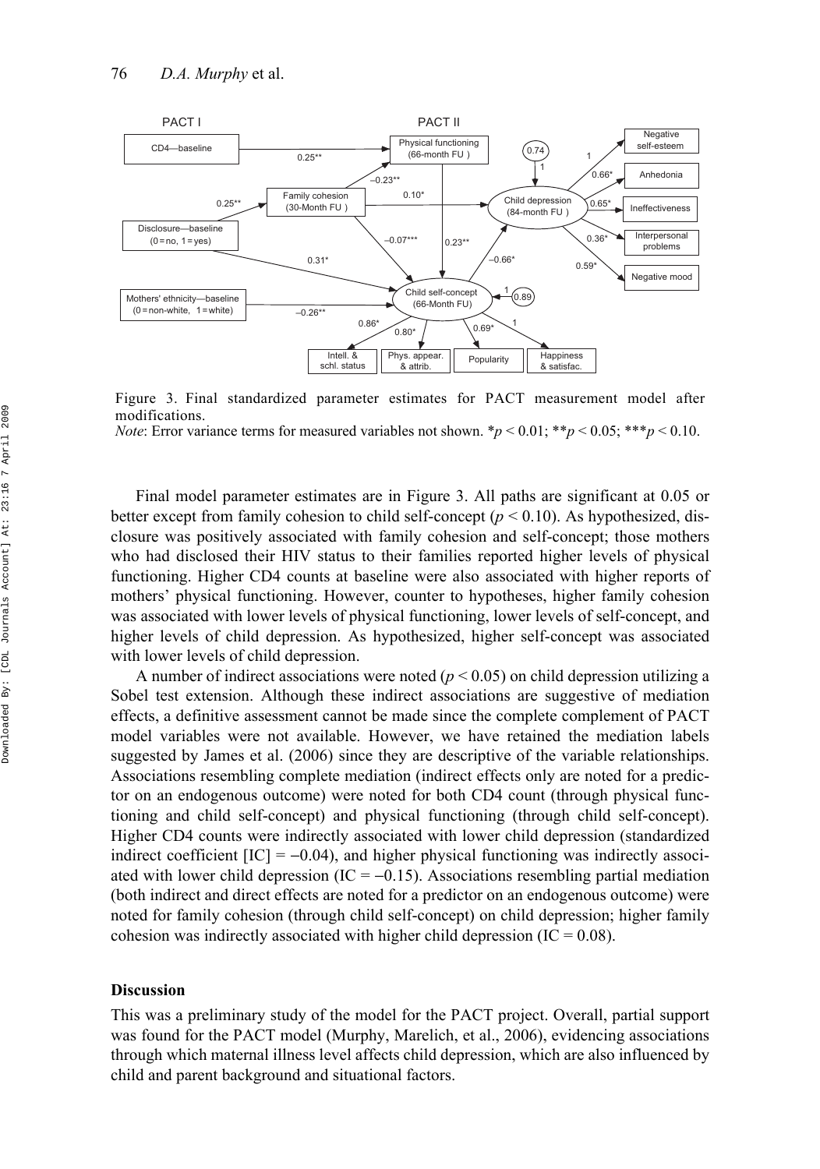

Figure 3. Final standardized parameter estimates for PACT measurement model after modifications.

*Note*: Error variance terms for measured variables not shown.  $p < 0.01$ ;  $* p < 0.05$ ;  $* * p < 0.10$ .

Final model parameter estimates are in Figure 3. All paths are significant at 0.05 or better except from family cohesion to child self-concept  $(p < 0.10)$ . As hypothesized, disclosure was positively associated with family cohesion and self-concept; those mothers who had disclosed their HIV status to their families reported higher levels of physical functioning. Higher CD4 counts at baseline were also associated with higher reports of mothers' physical functioning. However, counter to hypotheses, higher family cohesion was associated with lower levels of physical functioning, lower levels of self-concept, and higher levels of child depression. As hypothesized, higher self-concept was associated with lower levels of child depression.

A number of indirect associations were noted ( $p < 0.05$ ) on child depression utilizing a Sobel test extension. Although these indirect associations are suggestive of mediation effects, a definitive assessment cannot be made since the complete complement of PACT model variables were not available. However, we have retained the mediation labels suggested by James et al. (2006) since they are descriptive of the variable relationships. Associations resembling complete mediation (indirect effects only are noted for a predictor on an endogenous outcome) were noted for both CD4 count (through physical functioning and child self-concept) and physical functioning (through child self-concept). Higher CD4 counts were indirectly associated with lower child depression (standardized indirect coefficient  $[IC] = -0.04$ , and higher physical functioning was indirectly associated with lower child depression (IC =  $-0.15$ ). Associations resembling partial mediation (both indirect and direct effects are noted for a predictor on an endogenous outcome) were noted for family cohesion (through child self-concept) on child depression; higher family cohesion was indirectly associated with higher child depression (IC =  $0.08$ ).

#### **Discussion**

This was a preliminary study of the model for the PACT project. Overall, partial support was found for the PACT model (Murphy, Marelich, et al., 2006), evidencing associations through which maternal illness level affects child depression, which are also influenced by child and parent background and situational factors.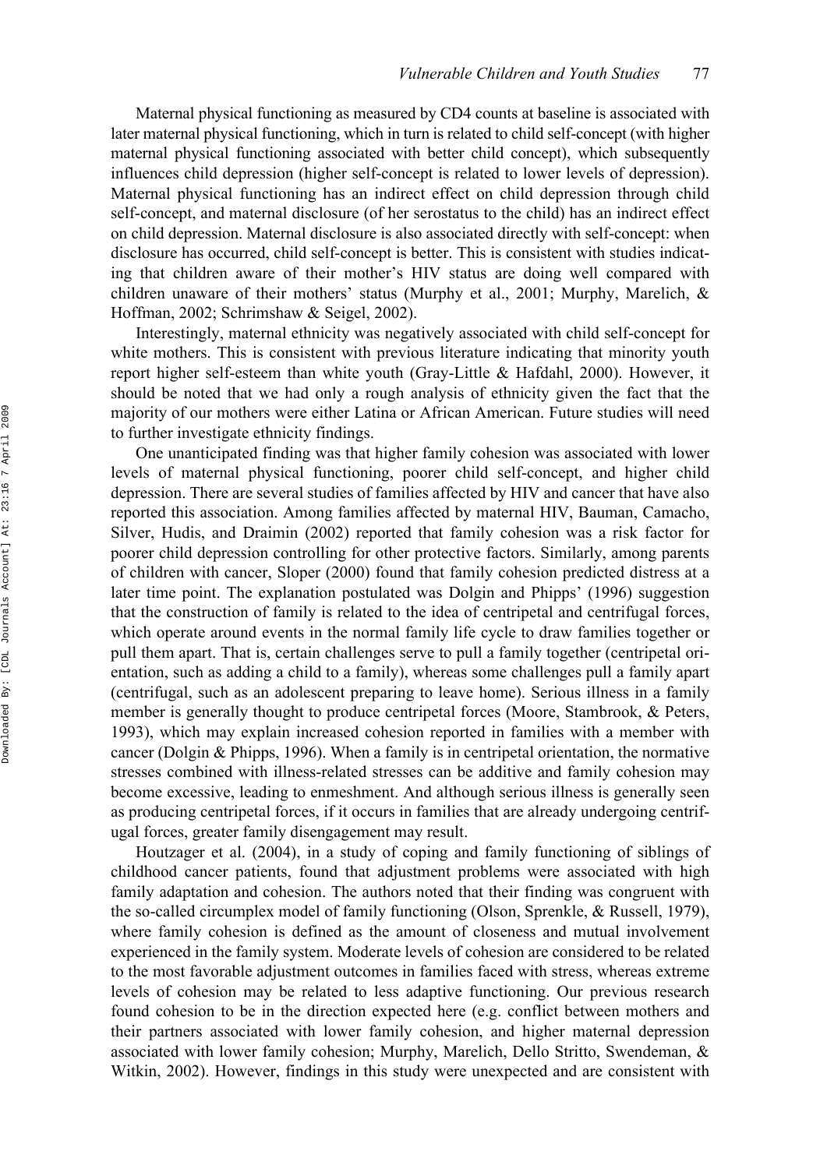Maternal physical functioning as measured by CD4 counts at baseline is associated with later maternal physical functioning, which in turn is related to child self-concept (with higher maternal physical functioning associated with better child concept), which subsequently influences child depression (higher self-concept is related to lower levels of depression). Maternal physical functioning has an indirect effect on child depression through child self-concept, and maternal disclosure (of her serostatus to the child) has an indirect effect on child depression. Maternal disclosure is also associated directly with self-concept: when disclosure has occurred, child self-concept is better. This is consistent with studies indicating that children aware of their mother's HIV status are doing well compared with children unaware of their mothers' status (Murphy et al., 2001; Murphy, Marelich, & Hoffman, 2002; Schrimshaw & Seigel, 2002).

Interestingly, maternal ethnicity was negatively associated with child self-concept for white mothers. This is consistent with previous literature indicating that minority youth report higher self-esteem than white youth (Gray-Little & Hafdahl, 2000). However, it should be noted that we had only a rough analysis of ethnicity given the fact that the majority of our mothers were either Latina or African American. Future studies will need to further investigate ethnicity findings.

One unanticipated finding was that higher family cohesion was associated with lower levels of maternal physical functioning, poorer child self-concept, and higher child depression. There are several studies of families affected by HIV and cancer that have also reported this association. Among families affected by maternal HIV, Bauman, Camacho, Silver, Hudis, and Draimin (2002) reported that family cohesion was a risk factor for poorer child depression controlling for other protective factors. Similarly, among parents of children with cancer, Sloper (2000) found that family cohesion predicted distress at a later time point. The explanation postulated was Dolgin and Phipps' (1996) suggestion that the construction of family is related to the idea of centripetal and centrifugal forces, which operate around events in the normal family life cycle to draw families together or pull them apart. That is, certain challenges serve to pull a family together (centripetal orientation, such as adding a child to a family), whereas some challenges pull a family apart (centrifugal, such as an adolescent preparing to leave home). Serious illness in a family member is generally thought to produce centripetal forces (Moore, Stambrook, & Peters, 1993), which may explain increased cohesion reported in families with a member with cancer (Dolgin  $\&$  Phipps, 1996). When a family is in centripetal orientation, the normative stresses combined with illness-related stresses can be additive and family cohesion may become excessive, leading to enmeshment. And although serious illness is generally seen as producing centripetal forces, if it occurs in families that are already undergoing centrifugal forces, greater family disengagement may result.

Houtzager et al. (2004), in a study of coping and family functioning of siblings of childhood cancer patients, found that adjustment problems were associated with high family adaptation and cohesion. The authors noted that their finding was congruent with the so-called circumplex model of family functioning (Olson, Sprenkle, & Russell, 1979), where family cohesion is defined as the amount of closeness and mutual involvement experienced in the family system. Moderate levels of cohesion are considered to be related to the most favorable adjustment outcomes in families faced with stress, whereas extreme levels of cohesion may be related to less adaptive functioning. Our previous research found cohesion to be in the direction expected here (e.g. conflict between mothers and their partners associated with lower family cohesion, and higher maternal depression associated with lower family cohesion; Murphy, Marelich, Dello Stritto, Swendeman, & Witkin, 2002). However, findings in this study were unexpected and are consistent with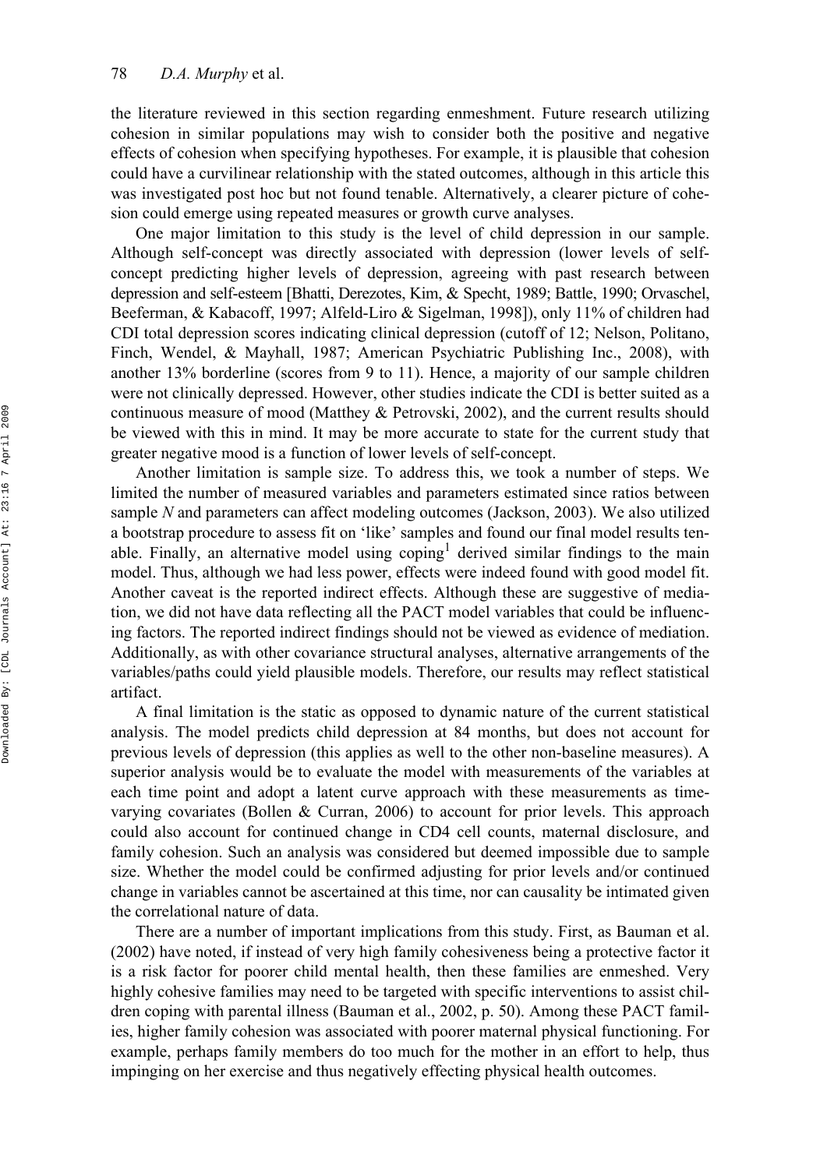the literature reviewed in this section regarding enmeshment. Future research utilizing cohesion in similar populations may wish to consider both the positive and negative effects of cohesion when specifying hypotheses. For example, it is plausible that cohesion could have a curvilinear relationship with the stated outcomes, although in this article this was investigated post hoc but not found tenable. Alternatively, a clearer picture of cohesion could emerge using repeated measures or growth curve analyses.

One major limitation to this study is the level of child depression in our sample. Although self-concept was directly associated with depression (lower levels of selfconcept predicting higher levels of depression, agreeing with past research between depression and self-esteem [Bhatti, Derezotes, Kim, & Specht, 1989; Battle, 1990; Orvaschel, Beeferman, & Kabacoff, 1997; Alfeld-Liro & Sigelman, 1998]), only 11% of children had CDI total depression scores indicating clinical depression (cutoff of 12; Nelson, Politano, Finch, Wendel, & Mayhall, 1987; American Psychiatric Publishing Inc., 2008), with another 13% borderline (scores from 9 to 11). Hence, a majority of our sample children were not clinically depressed. However, other studies indicate the CDI is better suited as a continuous measure of mood (Matthey & Petrovski, 2002), and the current results should be viewed with this in mind. It may be more accurate to state for the current study that greater negative mood is a function of lower levels of self-concept.

Another limitation is sample size. To address this, we took a number of steps. We limited the number of measured variables and parameters estimated since ratios between sample *N* and parameters can affect modeling outcomes (Jackson, 2003). We also utilized a bootstrap procedure to assess fit on 'like' samples and found our final model results tenable. Finally, an alternative model using  $\mathbf{coping}^1$  derived similar findings to the main model. Thus, although we had less power, effects were indeed found with good model fit. Another caveat is the reported indirect effects. Although these are suggestive of mediation, we did not have data reflecting all the PACT model variables that could be influencing factors. The reported indirect findings should not be viewed as evidence of mediation. Additionally, as with other covariance structural analyses, alternative arrangements of the variables/paths could yield plausible models. Therefore, our results may reflect statistical artifact.

A final limitation is the static as opposed to dynamic nature of the current statistical analysis. The model predicts child depression at 84 months, but does not account for previous levels of depression (this applies as well to the other non-baseline measures). A superior analysis would be to evaluate the model with measurements of the variables at each time point and adopt a latent curve approach with these measurements as timevarying covariates (Bollen & Curran, 2006) to account for prior levels. This approach could also account for continued change in CD4 cell counts, maternal disclosure, and family cohesion. Such an analysis was considered but deemed impossible due to sample size. Whether the model could be confirmed adjusting for prior levels and/or continued change in variables cannot be ascertained at this time, nor can causality be intimated given the correlational nature of data.

There are a number of important implications from this study. First, as Bauman et al. (2002) have noted, if instead of very high family cohesiveness being a protective factor it is a risk factor for poorer child mental health, then these families are enmeshed. Very highly cohesive families may need to be targeted with specific interventions to assist children coping with parental illness (Bauman et al., 2002, p. 50). Among these PACT families, higher family cohesion was associated with poorer maternal physical functioning. For example, perhaps family members do too much for the mother in an effort to help, thus impinging on her exercise and thus negatively effecting physical health outcomes.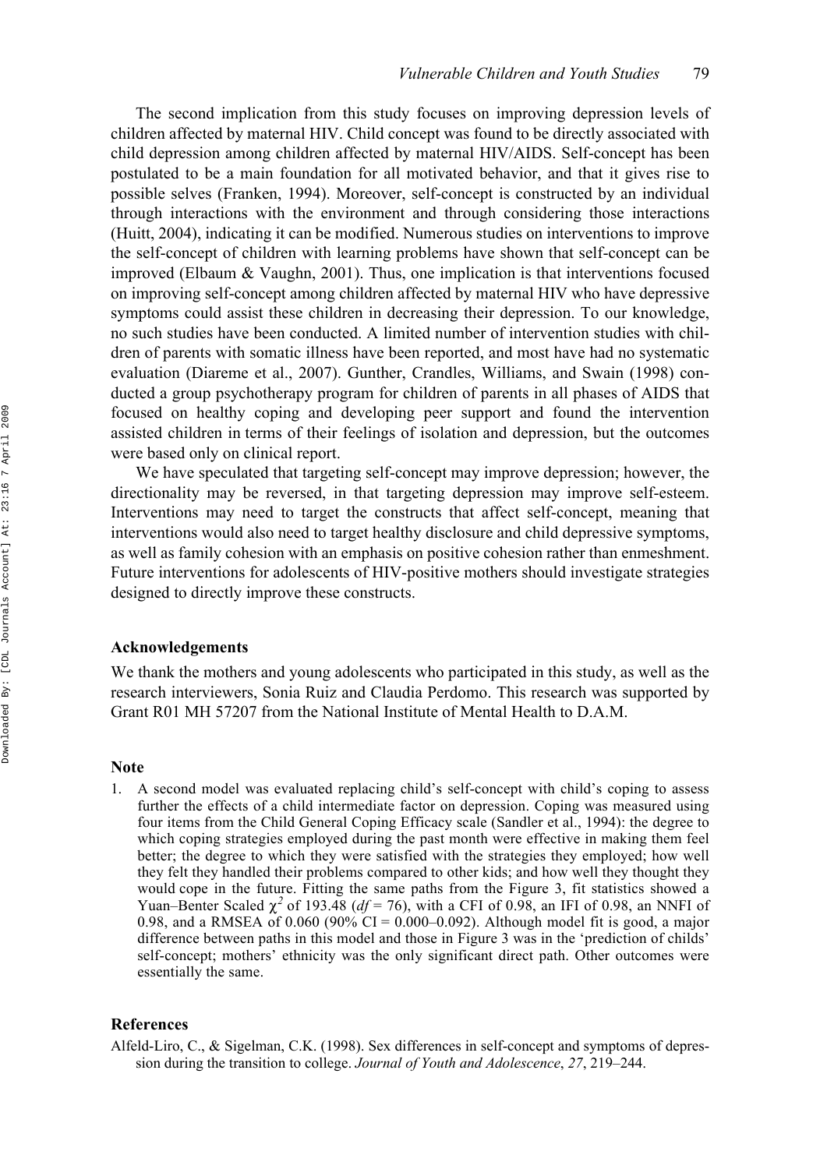The second implication from this study focuses on improving depression levels of children affected by maternal HIV. Child concept was found to be directly associated with child depression among children affected by maternal HIV/AIDS. Self-concept has been postulated to be a main foundation for all motivated behavior, and that it gives rise to possible selves (Franken, 1994). Moreover, self-concept is constructed by an individual through interactions with the environment and through considering those interactions (Huitt, 2004), indicating it can be modified. Numerous studies on interventions to improve the self-concept of children with learning problems have shown that self-concept can be improved (Elbaum & Vaughn, 2001). Thus, one implication is that interventions focused on improving self-concept among children affected by maternal HIV who have depressive symptoms could assist these children in decreasing their depression. To our knowledge, no such studies have been conducted. A limited number of intervention studies with children of parents with somatic illness have been reported, and most have had no systematic evaluation (Diareme et al., 2007). Gunther, Crandles, Williams, and Swain (1998) conducted a group psychotherapy program for children of parents in all phases of AIDS that focused on healthy coping and developing peer support and found the intervention assisted children in terms of their feelings of isolation and depression, but the outcomes were based only on clinical report.

We have speculated that targeting self-concept may improve depression; however, the directionality may be reversed, in that targeting depression may improve self-esteem. Interventions may need to target the constructs that affect self-concept, meaning that interventions would also need to target healthy disclosure and child depressive symptoms, as well as family cohesion with an emphasis on positive cohesion rather than enmeshment. Future interventions for adolescents of HIV-positive mothers should investigate strategies designed to directly improve these constructs.

#### **Acknowledgements**

We thank the mothers and young adolescents who participated in this study, as well as the research interviewers, Sonia Ruiz and Claudia Perdomo. This research was supported by Grant R01 MH 57207 from the National Institute of Mental Health to D.A.M.

#### **Note**

1. A second model was evaluated replacing child's self-concept with child's coping to assess further the effects of a child intermediate factor on depression. Coping was measured using four items from the Child General Coping Efficacy scale (Sandler et al., 1994): the degree to which coping strategies employed during the past month were effective in making them feel better; the degree to which they were satisfied with the strategies they employed; how well they felt they handled their problems compared to other kids; and how well they thought they would cope in the future. Fitting the same paths from the Figure 3, fit statistics showed a Yuan–Benter Scaled  $\chi^2$  of 193.48 ( $df = 76$ ), with a CFI of 0.98, an IFI of 0.98, an NNFI of 0.98, and a RMSEA of 0.060 (90% CI =  $0.000-0.092$ ). Although model fit is good, a major difference between paths in this model and those in Figure 3 was in the 'prediction of childs' self-concept; mothers' ethnicity was the only significant direct path. Other outcomes were essentially the same.

#### **References**

Alfeld-Liro, C., & Sigelman, C.K. (1998). Sex differences in self-concept and symptoms of depression during the transition to college. *Journal of Youth and Adolescence*, *27*, 219–244.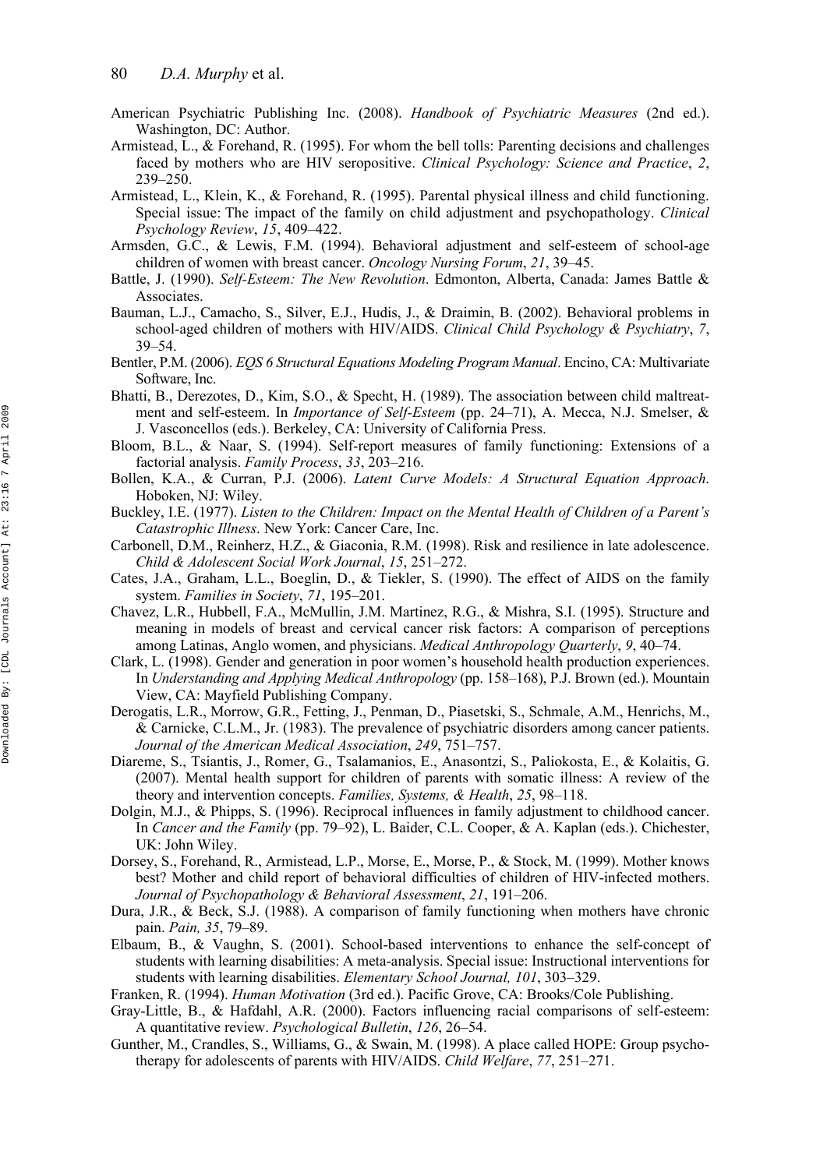- American Psychiatric Publishing Inc. (2008). *Handbook of Psychiatric Measures* (2nd ed.). Washington, DC: Author.
- Armistead, L., & Forehand, R. (1995). For whom the bell tolls: Parenting decisions and challenges faced by mothers who are HIV seropositive. *Clinical Psychology: Science and Practice*, *2*, 239–250.
- Armistead, L., Klein, K., & Forehand, R. (1995). Parental physical illness and child functioning. Special issue: The impact of the family on child adjustment and psychopathology. *Clinical Psychology Review*, *15*, 409–422.
- Armsden, G.C., & Lewis, F.M. (1994). Behavioral adjustment and self-esteem of school-age children of women with breast cancer. *Oncology Nursing Forum*, *21*, 39–45.
- Battle, J. (1990). *Self-Esteem: The New Revolution*. Edmonton, Alberta, Canada: James Battle & Associates.
- Bauman, L.J., Camacho, S., Silver, E.J., Hudis, J., & Draimin, B. (2002). Behavioral problems in school-aged children of mothers with HIV/AIDS. *Clinical Child Psychology & Psychiatry*, *7*, 39–54.
- Bentler, P.M. (2006). *EQS 6 Structural Equations Modeling Program Manual*. Encino, CA: Multivariate Software, Inc.
- Bhatti, B., Derezotes, D., Kim, S.O., & Specht, H. (1989). The association between child maltreatment and self-esteem. In *Importance of Self-Esteem* (pp. 24–71), A. Mecca, N.J. Smelser, & J. Vasconcellos (eds.). Berkeley, CA: University of California Press.
- Bloom, B.L., & Naar, S. (1994). Self-report measures of family functioning: Extensions of a factorial analysis. *Family Process*, *33*, 203–216.
- Bollen, K.A., & Curran, P.J. (2006). *Latent Curve Models: A Structural Equation Approach*. Hoboken, NJ: Wiley.
- Buckley, I.E. (1977). *Listen to the Children: Impact on the Mental Health of Children of a Parent's Catastrophic Illness*. New York: Cancer Care, Inc.
- Carbonell, D.M., Reinherz, H.Z., & Giaconia, R.M. (1998). Risk and resilience in late adolescence. *Child & Adolescent Social Work Journal*, *15*, 251–272.
- Cates, J.A., Graham, L.L., Boeglin, D., & Tiekler, S. (1990). The effect of AIDS on the family system. *Families in Society*, *71*, 195–201.
- Chavez, L.R., Hubbell, F.A., McMullin, J.M. Martinez, R.G., & Mishra, S.I. (1995). Structure and meaning in models of breast and cervical cancer risk factors: A comparison of perceptions among Latinas, Anglo women, and physicians. *Medical Anthropology Quarterly*, *9*, 40–74.
- Clark, L. (1998). Gender and generation in poor women's household health production experiences. In *Understanding and Applying Medical Anthropology* (pp. 158–168), P.J. Brown (ed.). Mountain View, CA: Mayfield Publishing Company.
- Derogatis, L.R., Morrow, G.R., Fetting, J., Penman, D., Piasetski, S., Schmale, A.M., Henrichs, M., & Carnicke, C.L.M., Jr. (1983). The prevalence of psychiatric disorders among cancer patients. *Journal of the American Medical Association*, *249*, 751–757.
- Diareme, S., Tsiantis, J., Romer, G., Tsalamanios, E., Anasontzi, S., Paliokosta, E., & Kolaitis, G. (2007). Mental health support for children of parents with somatic illness: A review of the theory and intervention concepts. *Families, Systems, & Health*, *25*, 98–118.
- Dolgin, M.J., & Phipps, S. (1996). Reciprocal influences in family adjustment to childhood cancer. In *Cancer and the Family* (pp. 79–92), L. Baider, C.L. Cooper, & A. Kaplan (eds.). Chichester, UK: John Wiley.
- Dorsey, S., Forehand, R., Armistead, L.P., Morse, E., Morse, P., & Stock, M. (1999). Mother knows best? Mother and child report of behavioral difficulties of children of HIV-infected mothers. *Journal of Psychopathology & Behavioral Assessment*, *21*, 191–206.
- Dura, J.R., & Beck, S.J. (1988). A comparison of family functioning when mothers have chronic pain. *Pain, 35*, 79–89.
- Elbaum, B., & Vaughn, S. (2001). School-based interventions to enhance the self-concept of students with learning disabilities: A meta-analysis. Special issue: Instructional interventions for students with learning disabilities. *Elementary School Journal, 101*, 303–329.
- Franken, R. (1994). *Human Motivation* (3rd ed.). Pacific Grove, CA: Brooks/Cole Publishing.
- Gray-Little, B., & Hafdahl, A.R. (2000). Factors influencing racial comparisons of self-esteem: A quantitative review. *Psychological Bulletin*, *126*, 26–54.
- Gunther, M., Crandles, S., Williams, G., & Swain, M. (1998). A place called HOPE: Group psychotherapy for adolescents of parents with HIV/AIDS. *Child Welfare*, *77*, 251–271.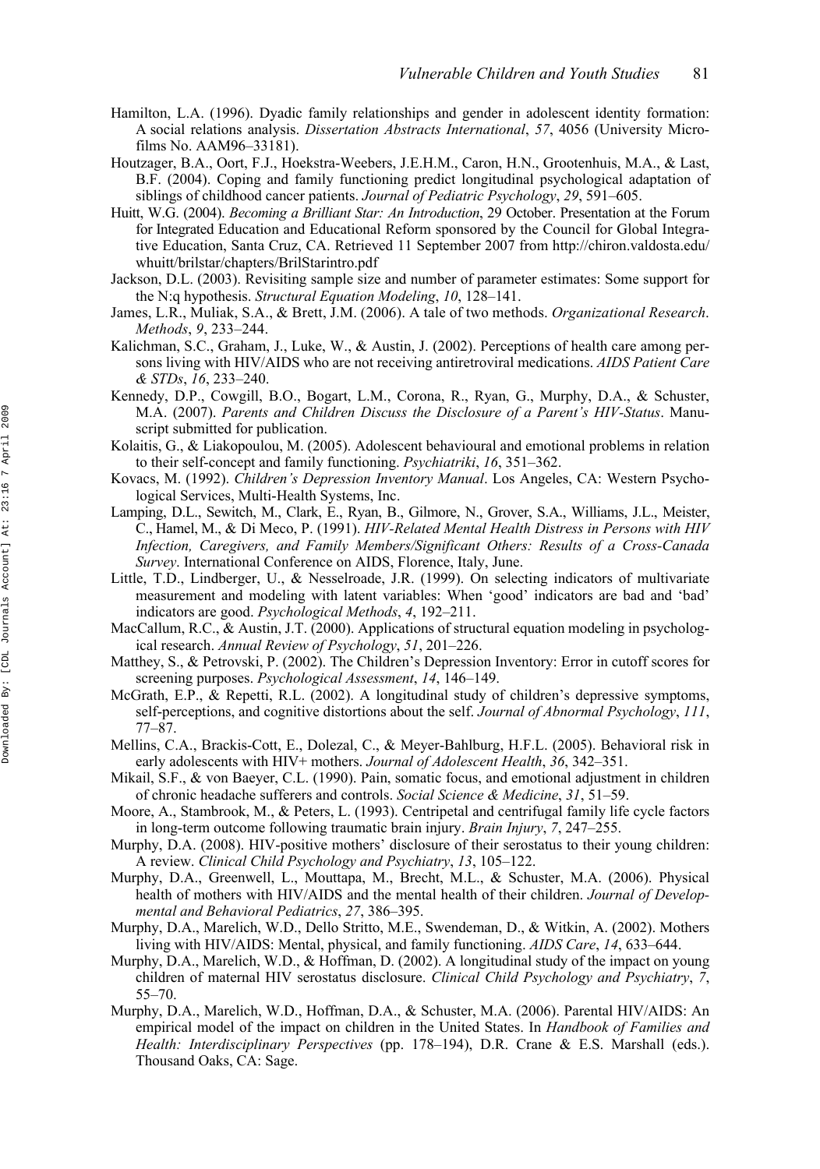- Hamilton, L.A. (1996). Dyadic family relationships and gender in adolescent identity formation: A social relations analysis. *Dissertation Abstracts International*, *57*, 4056 (University Microfilms No. AAM96–33181).
- Houtzager, B.A., Oort, F.J., Hoekstra-Weebers, J.E.H.M., Caron, H.N., Grootenhuis, M.A., & Last, B.F. (2004). Coping and family functioning predict longitudinal psychological adaptation of siblings of childhood cancer patients. *Journal of Pediatric Psychology*, *29*, 591–605.
- Huitt, W.G. (2004). *Becoming a Brilliant Star: An Introduction*, 29 October. Presentation at the Forum for Integrated Education and Educational Reform sponsored by the Council for Global Integrative Education, Santa Cruz, CA. Retrieved 11 September 2007 from [http://chiron.valdosta.edu/](http://chiron.valdosta.edu) whuitt/brilstar/chapters/BrilStarintro.pdf
- Jackson, D.L. (2003). Revisiting sample size and number of parameter estimates: Some support for the N:q hypothesis. *Structural Equation Modeling*, *10*, 128–141.
- James, L.R., Muliak, S.A., & Brett, J.M. (2006). A tale of two methods. *Organizational Research*. *Methods*, *9*, 233–244.
- Kalichman, S.C., Graham, J., Luke, W., & Austin, J. (2002). Perceptions of health care among persons living with HIV/AIDS who are not receiving antiretroviral medications. *AIDS Patient Care & STDs*, *16*, 233–240.
- Kennedy, D.P., Cowgill, B.O., Bogart, L.M., Corona, R., Ryan, G., Murphy, D.A., & Schuster, M.A. (2007). *Parents and Children Discuss the Disclosure of a Parent's HIV-Status*. Manuscript submitted for publication.
- Kolaitis, G., & Liakopoulou, M. (2005). Adolescent behavioural and emotional problems in relation to their self-concept and family functioning. *Psychiatriki*, *16*, 351–362.
- Kovacs, M. (1992). *Children's Depression Inventory Manual*. Los Angeles, CA: Western Psychological Services, Multi-Health Systems, Inc.
- Lamping, D.L., Sewitch, M., Clark, E., Ryan, B., Gilmore, N., Grover, S.A., Williams, J.L., Meister, C., Hamel, M., & Di Meco, P. (1991). *HIV-Related Mental Health Distress in Persons with HIV Infection, Caregivers, and Family Members/Significant Others: Results of a Cross-Canada Survey*. International Conference on AIDS, Florence, Italy, June.
- Little, T.D., Lindberger, U., & Nesselroade, J.R. (1999). On selecting indicators of multivariate measurement and modeling with latent variables: When 'good' indicators are bad and 'bad' indicators are good. *Psychological Methods*, *4*, 192–211.
- MacCallum, R.C., & Austin, J.T. (2000). Applications of structural equation modeling in psychological research. *Annual Review of Psychology*, *51*, 201–226.
- Matthey, S., & Petrovski, P. (2002). The Children's Depression Inventory: Error in cutoff scores for screening purposes. *Psychological Assessment*, *14*, 146–149.
- McGrath, E.P., & Repetti, R.L. (2002). A longitudinal study of children's depressive symptoms, self-perceptions, and cognitive distortions about the self. *Journal of Abnormal Psychology*, *111*, 77–87.
- Mellins, C.A., Brackis-Cott, E., Dolezal, C., & Meyer-Bahlburg, H.F.L. (2005). Behavioral risk in early adolescents with HIV+ mothers. *Journal of Adolescent Health*, *36*, 342–351.
- Mikail, S.F., & von Baeyer, C.L. (1990). Pain, somatic focus, and emotional adjustment in children of chronic headache sufferers and controls. *Social Science & Medicine*, *31*, 51–59.
- Moore, A., Stambrook, M., & Peters, L. (1993). Centripetal and centrifugal family life cycle factors in long-term outcome following traumatic brain injury. *Brain Injury*, *7*, 247–255.
- Murphy, D.A. (2008). HIV-positive mothers' disclosure of their serostatus to their young children: A review. *Clinical Child Psychology and Psychiatry*, *13*, 105–122.
- Murphy, D.A., Greenwell, L., Mouttapa, M., Brecht, M.L., & Schuster, M.A. (2006). Physical health of mothers with HIV/AIDS and the mental health of their children. *Journal of Developmental and Behavioral Pediatrics*, *27*, 386–395.
- Murphy, D.A., Marelich, W.D., Dello Stritto, M.E., Swendeman, D., & Witkin, A. (2002). Mothers living with HIV/AIDS: Mental, physical, and family functioning. *AIDS Care*, *14*, 633–644.
- Murphy, D.A., Marelich, W.D., & Hoffman, D. (2002). A longitudinal study of the impact on young children of maternal HIV serostatus disclosure. *Clinical Child Psychology and Psychiatry*, *7*, 55–70.
- Murphy, D.A., Marelich, W.D., Hoffman, D.A., & Schuster, M.A. (2006). Parental HIV/AIDS: An empirical model of the impact on children in the United States. In *Handbook of Families and Health: Interdisciplinary Perspectives* (pp. 178–194), D.R. Crane & E.S. Marshall (eds.). Thousand Oaks, CA: Sage.